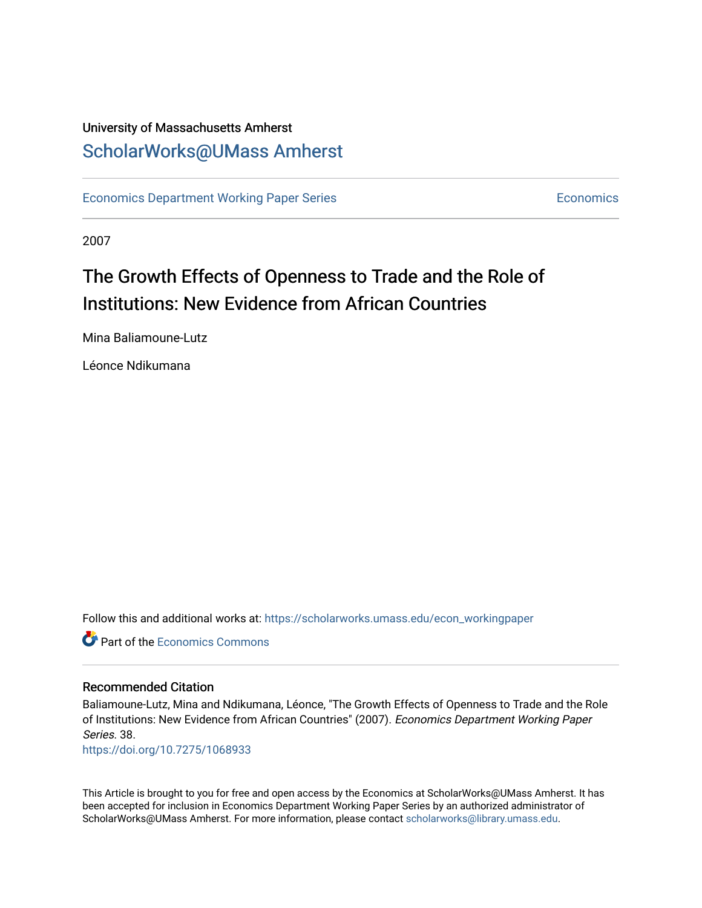### University of Massachusetts Amherst [ScholarWorks@UMass Amherst](https://scholarworks.umass.edu/)

[Economics Department Working Paper Series](https://scholarworks.umass.edu/econ_workingpaper) **Economics** [Economics](https://scholarworks.umass.edu/economics) Economics

2007

## The Growth Effects of Openness to Trade and the Role of Institutions: New Evidence from African Countries

Mina Baliamoune-Lutz

Léonce Ndikumana

Follow this and additional works at: [https://scholarworks.umass.edu/econ\\_workingpaper](https://scholarworks.umass.edu/econ_workingpaper?utm_source=scholarworks.umass.edu%2Fecon_workingpaper%2F38&utm_medium=PDF&utm_campaign=PDFCoverPages) 

**C** Part of the [Economics Commons](http://network.bepress.com/hgg/discipline/340?utm_source=scholarworks.umass.edu%2Fecon_workingpaper%2F38&utm_medium=PDF&utm_campaign=PDFCoverPages)

#### Recommended Citation

Baliamoune-Lutz, Mina and Ndikumana, Léonce, "The Growth Effects of Openness to Trade and the Role of Institutions: New Evidence from African Countries" (2007). Economics Department Working Paper Series. 38.

<https://doi.org/10.7275/1068933>

This Article is brought to you for free and open access by the Economics at ScholarWorks@UMass Amherst. It has been accepted for inclusion in Economics Department Working Paper Series by an authorized administrator of ScholarWorks@UMass Amherst. For more information, please contact [scholarworks@library.umass.edu.](mailto:scholarworks@library.umass.edu)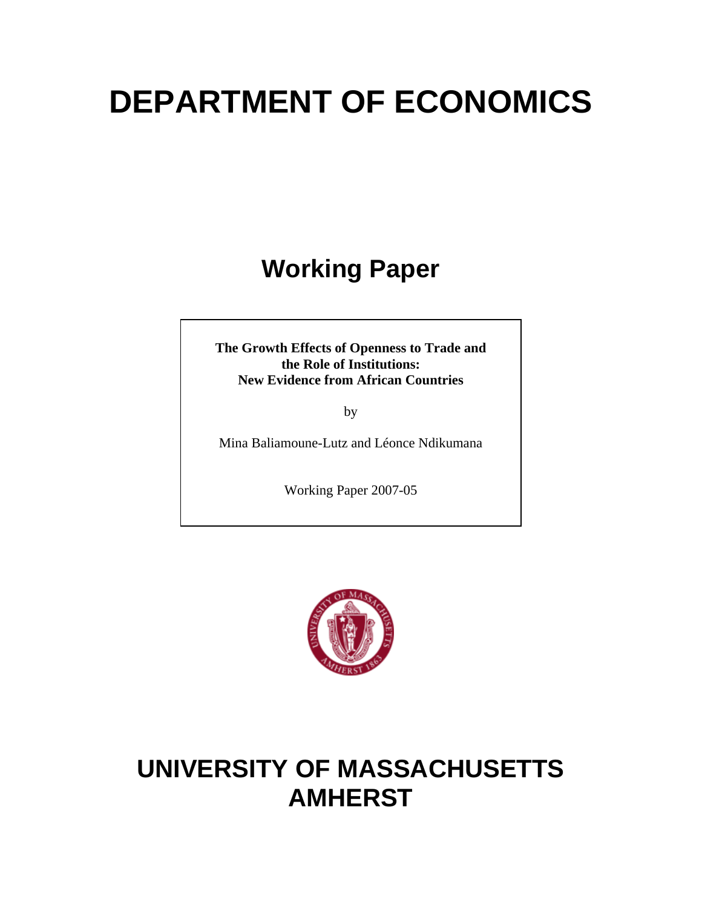# **DEPARTMENT OF ECONOMICS**

# **Working Paper**

**The Growth Effects of Openness to Trade and the Role of Institutions: New Evidence from African Countries** 

by

Mina Baliamoune-Lutz and Léonce Ndikumana

Working Paper 2007-05



# **UNIVERSITY OF MASSACHUSETTS AMHERST**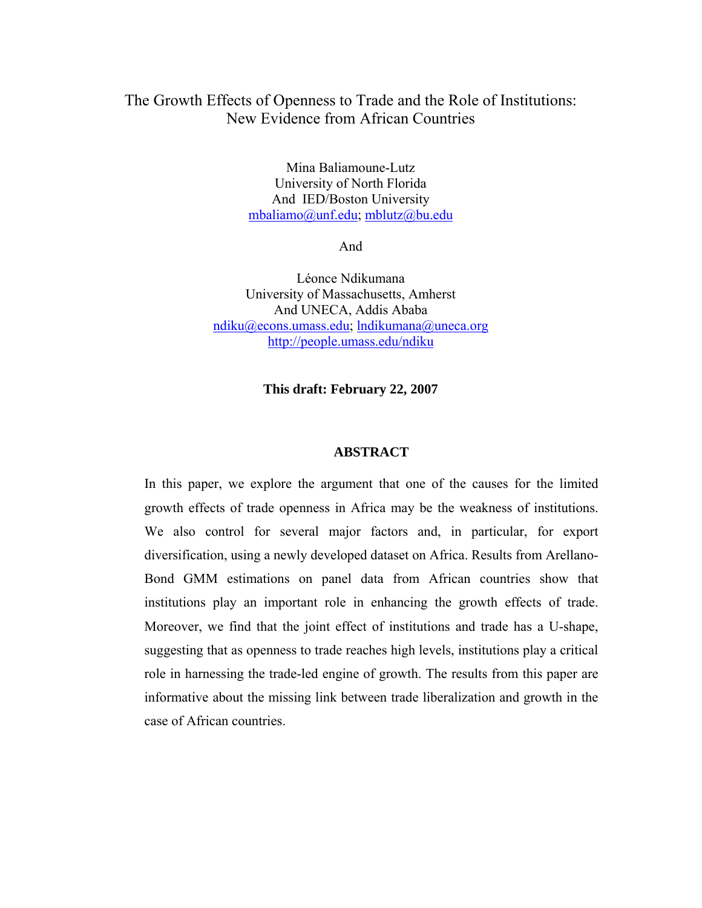#### The Growth Effects of Openness to Trade and the Role of Institutions: New Evidence from African Countries

Mina Baliamoune-Lutz University of North Florida And IED/Boston University mbaliamo@unf.edu; mblutz@bu.edu

And

Léonce Ndikumana University of Massachusetts, Amherst And UNECA, Addis Ababa ndiku@econs.umass.edu; lndikumana@uneca.org http://people.umass.edu/ndiku

**This draft: February 22, 2007** 

#### **ABSTRACT**

In this paper, we explore the argument that one of the causes for the limited growth effects of trade openness in Africa may be the weakness of institutions. We also control for several major factors and, in particular, for export diversification, using a newly developed dataset on Africa. Results from Arellano-Bond GMM estimations on panel data from African countries show that institutions play an important role in enhancing the growth effects of trade. Moreover, we find that the joint effect of institutions and trade has a U-shape, suggesting that as openness to trade reaches high levels, institutions play a critical role in harnessing the trade-led engine of growth. The results from this paper are informative about the missing link between trade liberalization and growth in the case of African countries.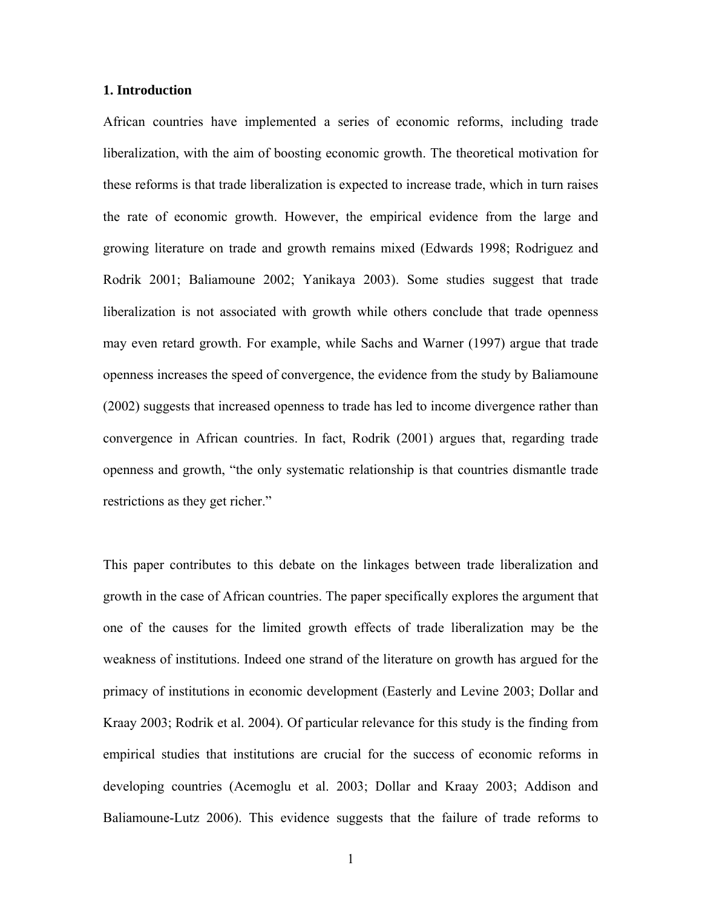#### **1. Introduction**

African countries have implemented a series of economic reforms, including trade liberalization, with the aim of boosting economic growth. The theoretical motivation for these reforms is that trade liberalization is expected to increase trade, which in turn raises the rate of economic growth. However, the empirical evidence from the large and growing literature on trade and growth remains mixed (Edwards 1998; Rodriguez and Rodrik 2001; Baliamoune 2002; Yanikaya 2003). Some studies suggest that trade liberalization is not associated with growth while others conclude that trade openness may even retard growth. For example, while Sachs and Warner (1997) argue that trade openness increases the speed of convergence, the evidence from the study by Baliamoune (2002) suggests that increased openness to trade has led to income divergence rather than convergence in African countries. In fact, Rodrik (2001) argues that, regarding trade openness and growth, "the only systematic relationship is that countries dismantle trade restrictions as they get richer."

This paper contributes to this debate on the linkages between trade liberalization and growth in the case of African countries. The paper specifically explores the argument that one of the causes for the limited growth effects of trade liberalization may be the weakness of institutions. Indeed one strand of the literature on growth has argued for the primacy of institutions in economic development (Easterly and Levine 2003; Dollar and Kraay 2003; Rodrik et al. 2004). Of particular relevance for this study is the finding from empirical studies that institutions are crucial for the success of economic reforms in developing countries (Acemoglu et al. 2003; Dollar and Kraay 2003; Addison and Baliamoune-Lutz 2006). This evidence suggests that the failure of trade reforms to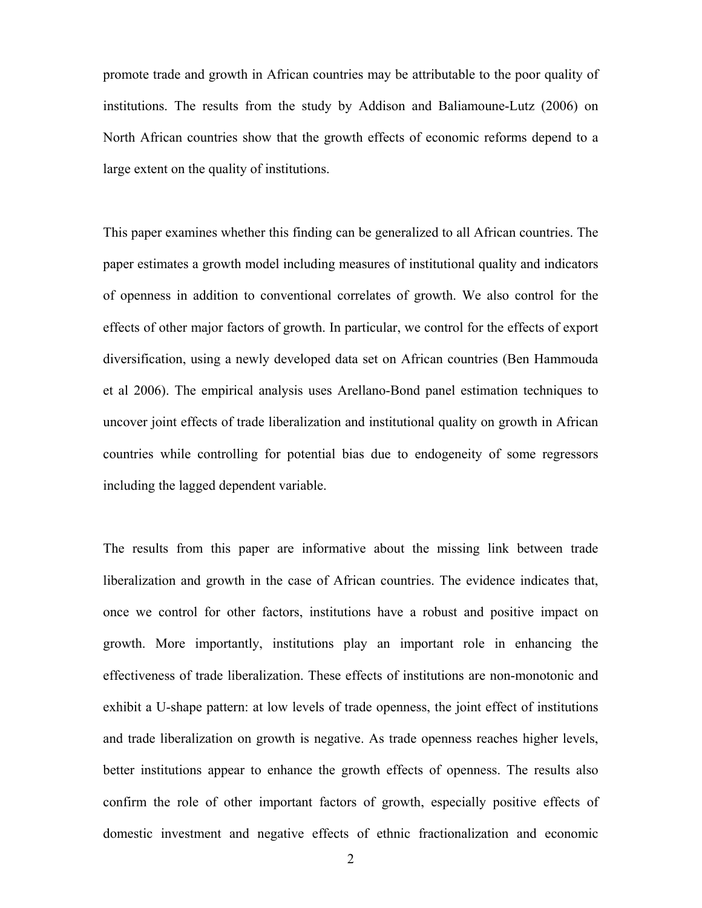promote trade and growth in African countries may be attributable to the poor quality of institutions. The results from the study by Addison and Baliamoune-Lutz (2006) on North African countries show that the growth effects of economic reforms depend to a large extent on the quality of institutions.

This paper examines whether this finding can be generalized to all African countries. The paper estimates a growth model including measures of institutional quality and indicators of openness in addition to conventional correlates of growth. We also control for the effects of other major factors of growth. In particular, we control for the effects of export diversification, using a newly developed data set on African countries (Ben Hammouda et al 2006). The empirical analysis uses Arellano-Bond panel estimation techniques to uncover joint effects of trade liberalization and institutional quality on growth in African countries while controlling for potential bias due to endogeneity of some regressors including the lagged dependent variable.

The results from this paper are informative about the missing link between trade liberalization and growth in the case of African countries. The evidence indicates that, once we control for other factors, institutions have a robust and positive impact on growth. More importantly, institutions play an important role in enhancing the effectiveness of trade liberalization. These effects of institutions are non-monotonic and exhibit a U-shape pattern: at low levels of trade openness, the joint effect of institutions and trade liberalization on growth is negative. As trade openness reaches higher levels, better institutions appear to enhance the growth effects of openness. The results also confirm the role of other important factors of growth, especially positive effects of domestic investment and negative effects of ethnic fractionalization and economic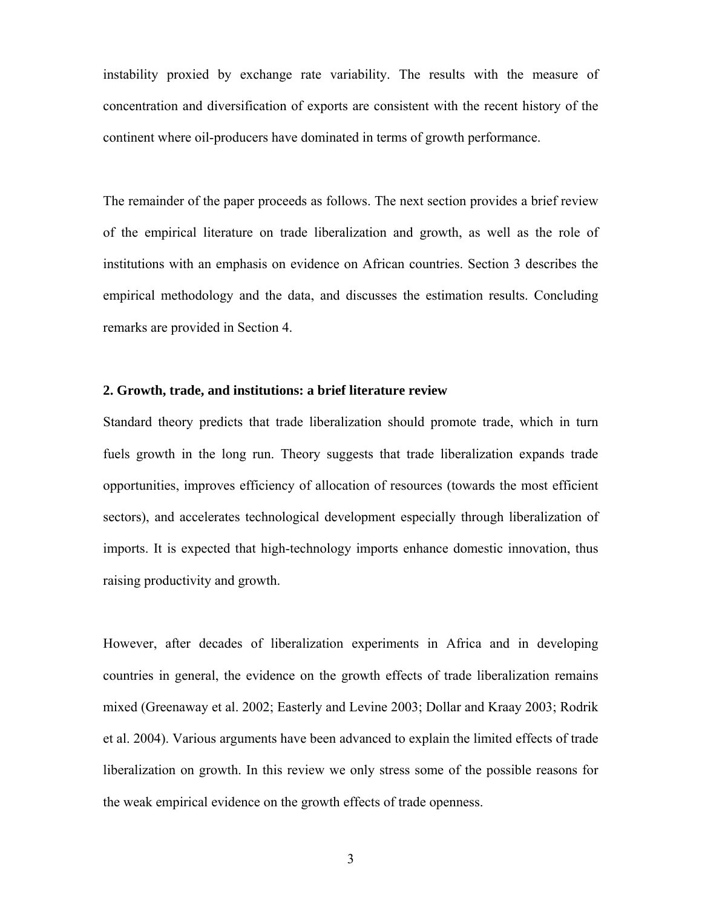instability proxied by exchange rate variability. The results with the measure of concentration and diversification of exports are consistent with the recent history of the continent where oil-producers have dominated in terms of growth performance.

The remainder of the paper proceeds as follows. The next section provides a brief review of the empirical literature on trade liberalization and growth, as well as the role of institutions with an emphasis on evidence on African countries. Section 3 describes the empirical methodology and the data, and discusses the estimation results. Concluding remarks are provided in Section 4.

#### **2. Growth, trade, and institutions: a brief literature review**

Standard theory predicts that trade liberalization should promote trade, which in turn fuels growth in the long run. Theory suggests that trade liberalization expands trade opportunities, improves efficiency of allocation of resources (towards the most efficient sectors), and accelerates technological development especially through liberalization of imports. It is expected that high-technology imports enhance domestic innovation, thus raising productivity and growth.

However, after decades of liberalization experiments in Africa and in developing countries in general, the evidence on the growth effects of trade liberalization remains mixed (Greenaway et al. 2002; Easterly and Levine 2003; Dollar and Kraay 2003; Rodrik et al. 2004). Various arguments have been advanced to explain the limited effects of trade liberalization on growth. In this review we only stress some of the possible reasons for the weak empirical evidence on the growth effects of trade openness.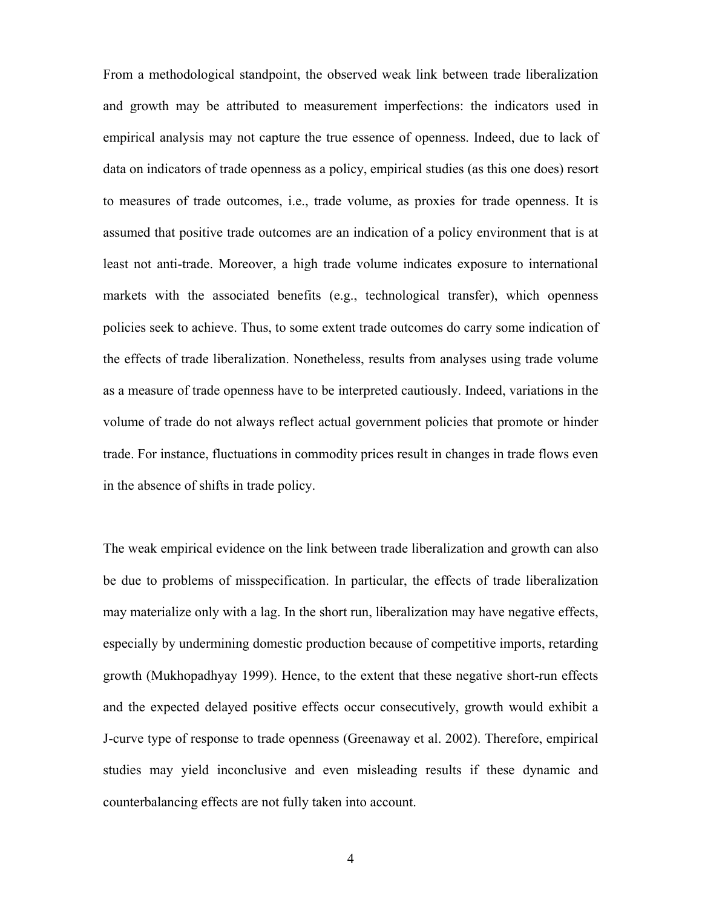From a methodological standpoint, the observed weak link between trade liberalization and growth may be attributed to measurement imperfections: the indicators used in empirical analysis may not capture the true essence of openness. Indeed, due to lack of data on indicators of trade openness as a policy, empirical studies (as this one does) resort to measures of trade outcomes, i.e., trade volume, as proxies for trade openness. It is assumed that positive trade outcomes are an indication of a policy environment that is at least not anti-trade. Moreover, a high trade volume indicates exposure to international markets with the associated benefits (e.g., technological transfer), which openness policies seek to achieve. Thus, to some extent trade outcomes do carry some indication of the effects of trade liberalization. Nonetheless, results from analyses using trade volume as a measure of trade openness have to be interpreted cautiously. Indeed, variations in the volume of trade do not always reflect actual government policies that promote or hinder trade. For instance, fluctuations in commodity prices result in changes in trade flows even in the absence of shifts in trade policy.

The weak empirical evidence on the link between trade liberalization and growth can also be due to problems of misspecification. In particular, the effects of trade liberalization may materialize only with a lag. In the short run, liberalization may have negative effects, especially by undermining domestic production because of competitive imports, retarding growth (Mukhopadhyay 1999). Hence, to the extent that these negative short-run effects and the expected delayed positive effects occur consecutively, growth would exhibit a J-curve type of response to trade openness (Greenaway et al. 2002). Therefore, empirical studies may yield inconclusive and even misleading results if these dynamic and counterbalancing effects are not fully taken into account.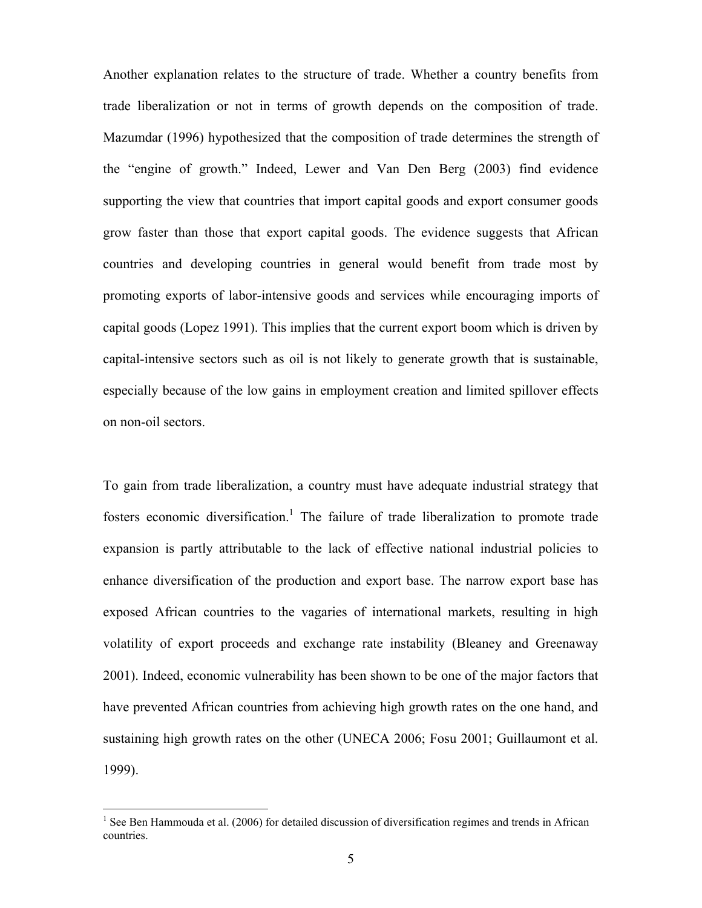Another explanation relates to the structure of trade. Whether a country benefits from trade liberalization or not in terms of growth depends on the composition of trade. Mazumdar (1996) hypothesized that the composition of trade determines the strength of the "engine of growth." Indeed, Lewer and Van Den Berg (2003) find evidence supporting the view that countries that import capital goods and export consumer goods grow faster than those that export capital goods. The evidence suggests that African countries and developing countries in general would benefit from trade most by promoting exports of labor-intensive goods and services while encouraging imports of capital goods (Lopez 1991). This implies that the current export boom which is driven by capital-intensive sectors such as oil is not likely to generate growth that is sustainable, especially because of the low gains in employment creation and limited spillover effects on non-oil sectors.

To gain from trade liberalization, a country must have adequate industrial strategy that fosters economic diversification.<sup>1</sup> The failure of trade liberalization to promote trade expansion is partly attributable to the lack of effective national industrial policies to enhance diversification of the production and export base. The narrow export base has exposed African countries to the vagaries of international markets, resulting in high volatility of export proceeds and exchange rate instability (Bleaney and Greenaway 2001). Indeed, economic vulnerability has been shown to be one of the major factors that have prevented African countries from achieving high growth rates on the one hand, and sustaining high growth rates on the other (UNECA 2006; Fosu 2001; Guillaumont et al. 1999).

 $\overline{a}$ 

<sup>&</sup>lt;sup>1</sup> See Ben Hammouda et al. (2006) for detailed discussion of diversification regimes and trends in African countries.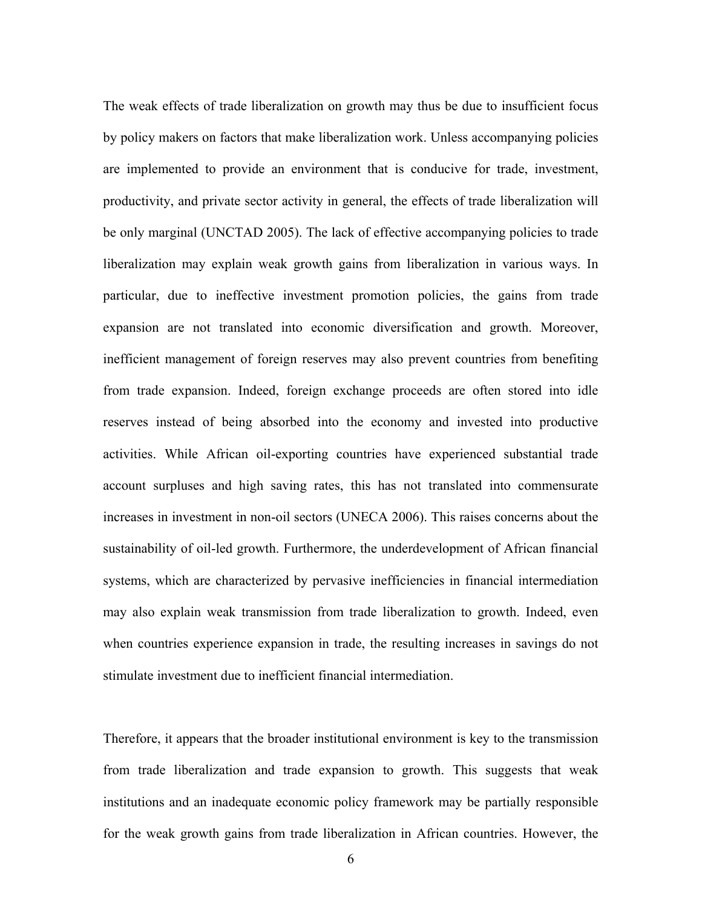The weak effects of trade liberalization on growth may thus be due to insufficient focus by policy makers on factors that make liberalization work. Unless accompanying policies are implemented to provide an environment that is conducive for trade, investment, productivity, and private sector activity in general, the effects of trade liberalization will be only marginal (UNCTAD 2005). The lack of effective accompanying policies to trade liberalization may explain weak growth gains from liberalization in various ways. In particular, due to ineffective investment promotion policies, the gains from trade expansion are not translated into economic diversification and growth. Moreover, inefficient management of foreign reserves may also prevent countries from benefiting from trade expansion. Indeed, foreign exchange proceeds are often stored into idle reserves instead of being absorbed into the economy and invested into productive activities. While African oil-exporting countries have experienced substantial trade account surpluses and high saving rates, this has not translated into commensurate increases in investment in non-oil sectors (UNECA 2006). This raises concerns about the sustainability of oil-led growth. Furthermore, the underdevelopment of African financial systems, which are characterized by pervasive inefficiencies in financial intermediation may also explain weak transmission from trade liberalization to growth. Indeed, even when countries experience expansion in trade, the resulting increases in savings do not stimulate investment due to inefficient financial intermediation.

Therefore, it appears that the broader institutional environment is key to the transmission from trade liberalization and trade expansion to growth. This suggests that weak institutions and an inadequate economic policy framework may be partially responsible for the weak growth gains from trade liberalization in African countries. However, the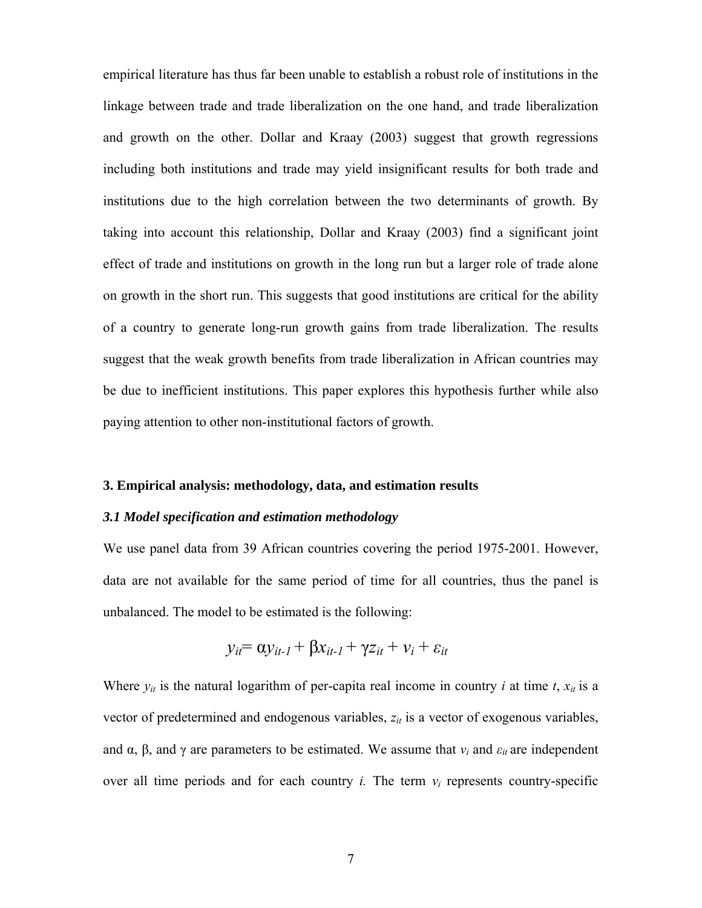empirical literature has thus far been unable to establish a robust role of institutions in the linkage between trade and trade liberalization on the one hand, and trade liberalization and growth on the other. Dollar and Kraay (2003) suggest that growth regressions including both institutions and trade may yield insignificant results for both trade and institutions due to the high correlation between the two determinants of growth. By taking into account this relationship, Dollar and Kraay (2003) find a significant joint effect of trade and institutions on growth in the long run but a larger role of trade alone on growth in the short run. This suggests that good institutions are critical for the ability of a country to generate long-run growth gains from trade liberalization. The results suggest that the weak growth benefits from trade liberalization in African countries may be due to inefficient institutions. This paper explores this hypothesis further while also paying attention to other non-institutional factors of growth.

#### **3. Empirical analysis: methodology, data, and estimation results**

#### *3.1 Model specification and estimation methodology*

We use panel data from 39 African countries covering the period 1975-2001. However, data are not available for the same period of time for all countries, thus the panel is unbalanced. The model to be estimated is the following:

$$
y_{it} = \alpha y_{it-l} + \beta x_{it-l} + \gamma z_{it} + v_i + \varepsilon_{it}
$$

Where  $y_{it}$  is the natural logarithm of per-capita real income in country *i* at time *t*,  $x_{it}$  is a vector of predetermined and endogenous variables,  $z_{it}$  is a vector of exogenous variables, and  $\alpha$ ,  $\beta$ , and  $\gamma$  are parameters to be estimated. We assume that  $v_i$  and  $\varepsilon_{it}$  are independent over all time periods and for each country *i.* The term *νi* represents country-specific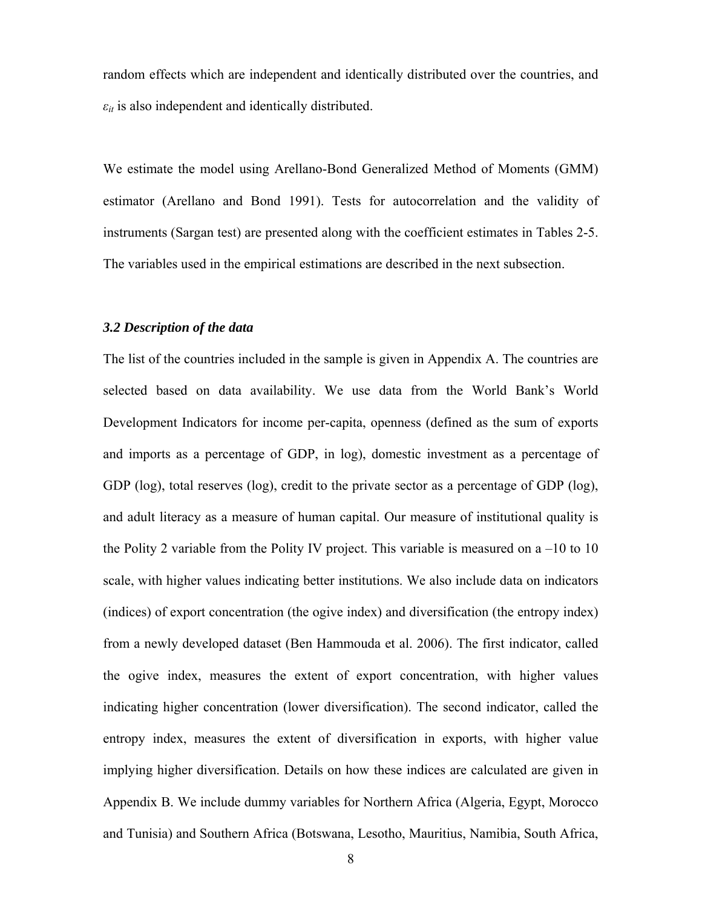random effects which are independent and identically distributed over the countries, and  $\varepsilon_{it}$  is also independent and identically distributed.

We estimate the model using Arellano-Bond Generalized Method of Moments (GMM) estimator (Arellano and Bond 1991). Tests for autocorrelation and the validity of instruments (Sargan test) are presented along with the coefficient estimates in Tables 2-5. The variables used in the empirical estimations are described in the next subsection.

#### *3.2 Description of the data*

The list of the countries included in the sample is given in Appendix A. The countries are selected based on data availability. We use data from the World Bank's World Development Indicators for income per-capita, openness (defined as the sum of exports and imports as a percentage of GDP, in log), domestic investment as a percentage of GDP (log), total reserves (log), credit to the private sector as a percentage of GDP (log), and adult literacy as a measure of human capital. Our measure of institutional quality is the Polity 2 variable from the Polity IV project. This variable is measured on a  $-10$  to 10 scale, with higher values indicating better institutions. We also include data on indicators (indices) of export concentration (the ogive index) and diversification (the entropy index) from a newly developed dataset (Ben Hammouda et al. 2006). The first indicator, called the ogive index, measures the extent of export concentration, with higher values indicating higher concentration (lower diversification). The second indicator, called the entropy index, measures the extent of diversification in exports, with higher value implying higher diversification. Details on how these indices are calculated are given in Appendix B. We include dummy variables for Northern Africa (Algeria, Egypt, Morocco and Tunisia) and Southern Africa (Botswana, Lesotho, Mauritius, Namibia, South Africa,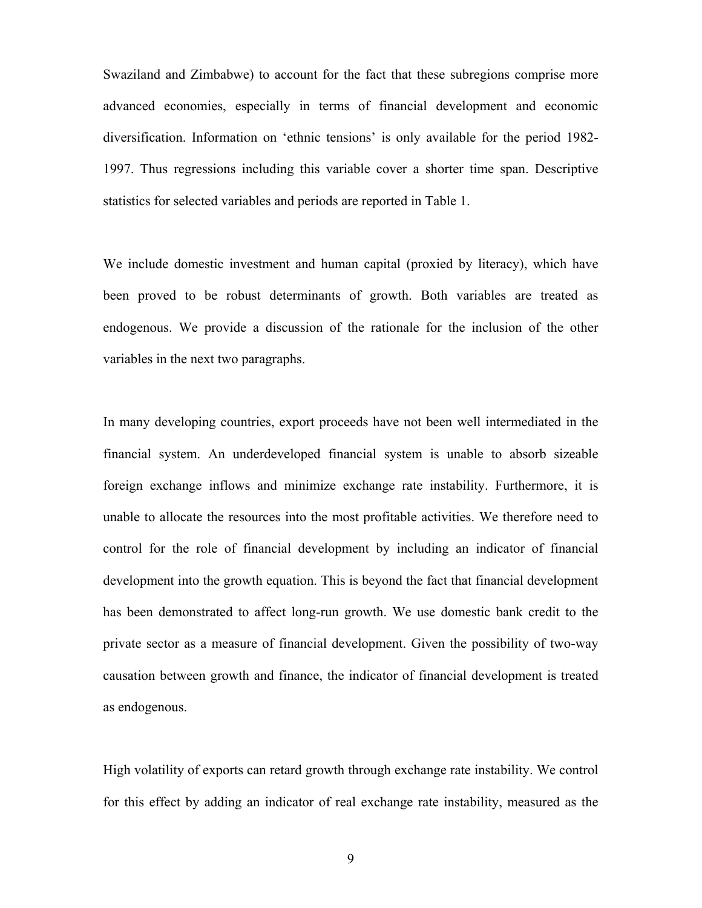Swaziland and Zimbabwe) to account for the fact that these subregions comprise more advanced economies, especially in terms of financial development and economic diversification. Information on 'ethnic tensions' is only available for the period 1982- 1997. Thus regressions including this variable cover a shorter time span. Descriptive statistics for selected variables and periods are reported in Table 1.

We include domestic investment and human capital (proxied by literacy), which have been proved to be robust determinants of growth. Both variables are treated as endogenous. We provide a discussion of the rationale for the inclusion of the other variables in the next two paragraphs.

In many developing countries, export proceeds have not been well intermediated in the financial system. An underdeveloped financial system is unable to absorb sizeable foreign exchange inflows and minimize exchange rate instability. Furthermore, it is unable to allocate the resources into the most profitable activities. We therefore need to control for the role of financial development by including an indicator of financial development into the growth equation. This is beyond the fact that financial development has been demonstrated to affect long-run growth. We use domestic bank credit to the private sector as a measure of financial development. Given the possibility of two-way causation between growth and finance, the indicator of financial development is treated as endogenous.

High volatility of exports can retard growth through exchange rate instability. We control for this effect by adding an indicator of real exchange rate instability, measured as the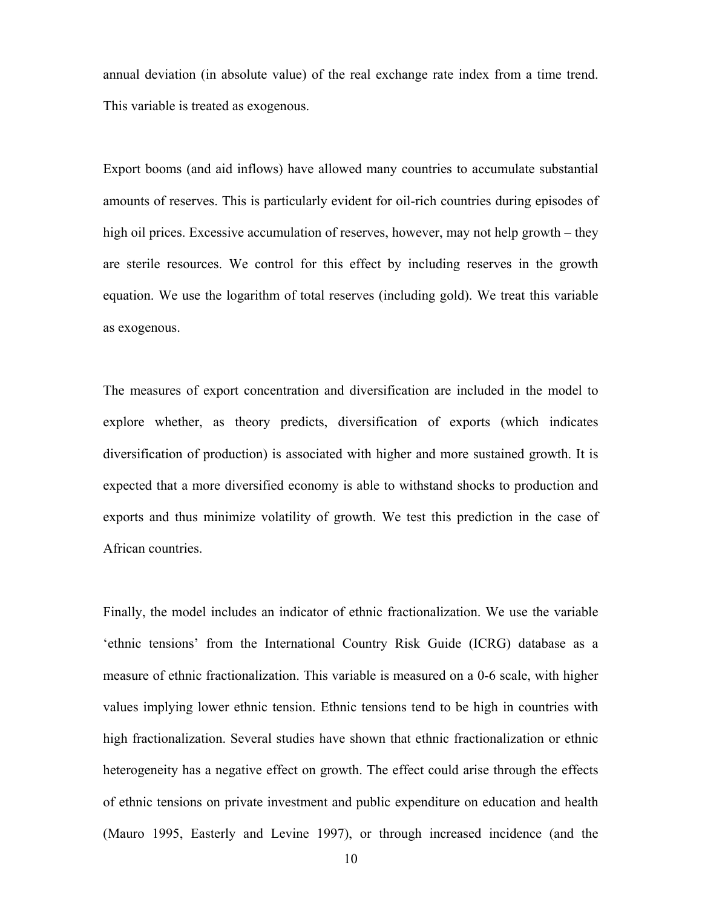annual deviation (in absolute value) of the real exchange rate index from a time trend. This variable is treated as exogenous.

Export booms (and aid inflows) have allowed many countries to accumulate substantial amounts of reserves. This is particularly evident for oil-rich countries during episodes of high oil prices. Excessive accumulation of reserves, however, may not help growth – they are sterile resources. We control for this effect by including reserves in the growth equation. We use the logarithm of total reserves (including gold). We treat this variable as exogenous.

The measures of export concentration and diversification are included in the model to explore whether, as theory predicts, diversification of exports (which indicates diversification of production) is associated with higher and more sustained growth. It is expected that a more diversified economy is able to withstand shocks to production and exports and thus minimize volatility of growth. We test this prediction in the case of African countries.

Finally, the model includes an indicator of ethnic fractionalization. We use the variable 'ethnic tensions' from the International Country Risk Guide (ICRG) database as a measure of ethnic fractionalization. This variable is measured on a 0-6 scale, with higher values implying lower ethnic tension. Ethnic tensions tend to be high in countries with high fractionalization. Several studies have shown that ethnic fractionalization or ethnic heterogeneity has a negative effect on growth. The effect could arise through the effects of ethnic tensions on private investment and public expenditure on education and health (Mauro 1995, Easterly and Levine 1997), or through increased incidence (and the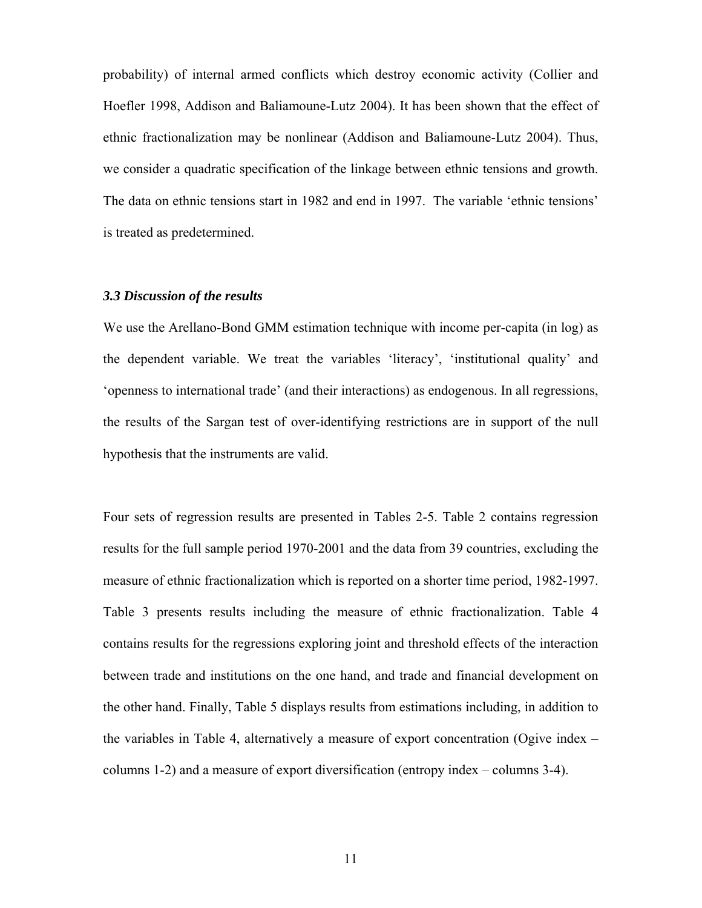probability) of internal armed conflicts which destroy economic activity (Collier and Hoefler 1998, Addison and Baliamoune-Lutz 2004). It has been shown that the effect of ethnic fractionalization may be nonlinear (Addison and Baliamoune-Lutz 2004). Thus, we consider a quadratic specification of the linkage between ethnic tensions and growth. The data on ethnic tensions start in 1982 and end in 1997. The variable 'ethnic tensions' is treated as predetermined.

#### *3.3 Discussion of the results*

We use the Arellano-Bond GMM estimation technique with income per-capita (in log) as the dependent variable. We treat the variables 'literacy', 'institutional quality' and 'openness to international trade' (and their interactions) as endogenous. In all regressions, the results of the Sargan test of over-identifying restrictions are in support of the null hypothesis that the instruments are valid.

Four sets of regression results are presented in Tables 2-5. Table 2 contains regression results for the full sample period 1970-2001 and the data from 39 countries, excluding the measure of ethnic fractionalization which is reported on a shorter time period, 1982-1997. Table 3 presents results including the measure of ethnic fractionalization. Table 4 contains results for the regressions exploring joint and threshold effects of the interaction between trade and institutions on the one hand, and trade and financial development on the other hand. Finally, Table 5 displays results from estimations including, in addition to the variables in Table 4, alternatively a measure of export concentration (Ogive index – columns 1-2) and a measure of export diversification (entropy index – columns 3-4).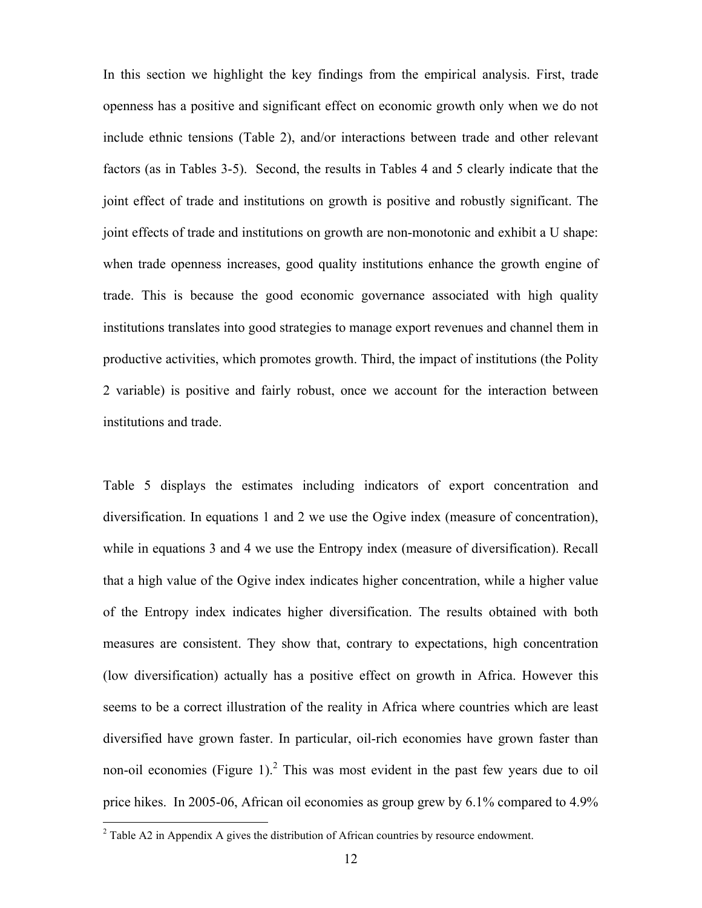In this section we highlight the key findings from the empirical analysis. First, trade openness has a positive and significant effect on economic growth only when we do not include ethnic tensions (Table 2), and/or interactions between trade and other relevant factors (as in Tables 3-5). Second, the results in Tables 4 and 5 clearly indicate that the joint effect of trade and institutions on growth is positive and robustly significant. The joint effects of trade and institutions on growth are non-monotonic and exhibit a U shape: when trade openness increases, good quality institutions enhance the growth engine of trade. This is because the good economic governance associated with high quality institutions translates into good strategies to manage export revenues and channel them in productive activities, which promotes growth. Third, the impact of institutions (the Polity 2 variable) is positive and fairly robust, once we account for the interaction between institutions and trade.

Table 5 displays the estimates including indicators of export concentration and diversification. In equations 1 and 2 we use the Ogive index (measure of concentration), while in equations 3 and 4 we use the Entropy index (measure of diversification). Recall that a high value of the Ogive index indicates higher concentration, while a higher value of the Entropy index indicates higher diversification. The results obtained with both measures are consistent. They show that, contrary to expectations, high concentration (low diversification) actually has a positive effect on growth in Africa. However this seems to be a correct illustration of the reality in Africa where countries which are least diversified have grown faster. In particular, oil-rich economies have grown faster than non-oil economies (Figure 1).<sup>2</sup> This was most evident in the past few years due to oil price hikes. In 2005-06, African oil economies as group grew by 6.1% compared to 4.9%

<sup>&</sup>lt;sup>2</sup> Table A2 in Appendix A gives the distribution of African countries by resource endowment.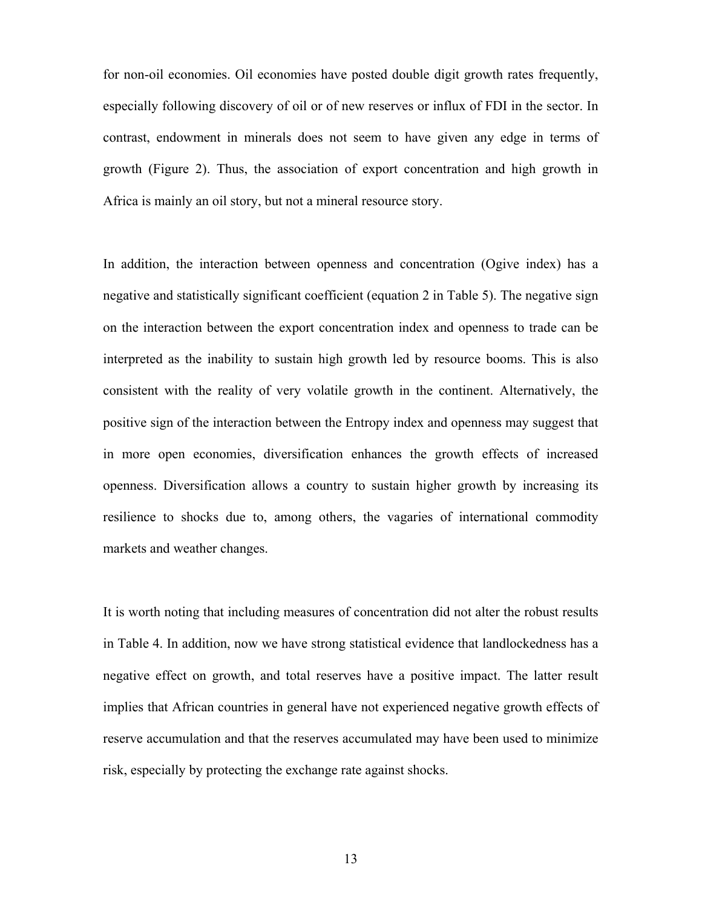for non-oil economies. Oil economies have posted double digit growth rates frequently, especially following discovery of oil or of new reserves or influx of FDI in the sector. In contrast, endowment in minerals does not seem to have given any edge in terms of growth (Figure 2). Thus, the association of export concentration and high growth in Africa is mainly an oil story, but not a mineral resource story.

In addition, the interaction between openness and concentration (Ogive index) has a negative and statistically significant coefficient (equation 2 in Table 5). The negative sign on the interaction between the export concentration index and openness to trade can be interpreted as the inability to sustain high growth led by resource booms. This is also consistent with the reality of very volatile growth in the continent. Alternatively, the positive sign of the interaction between the Entropy index and openness may suggest that in more open economies, diversification enhances the growth effects of increased openness. Diversification allows a country to sustain higher growth by increasing its resilience to shocks due to, among others, the vagaries of international commodity markets and weather changes.

It is worth noting that including measures of concentration did not alter the robust results in Table 4. In addition, now we have strong statistical evidence that landlockedness has a negative effect on growth, and total reserves have a positive impact. The latter result implies that African countries in general have not experienced negative growth effects of reserve accumulation and that the reserves accumulated may have been used to minimize risk, especially by protecting the exchange rate against shocks.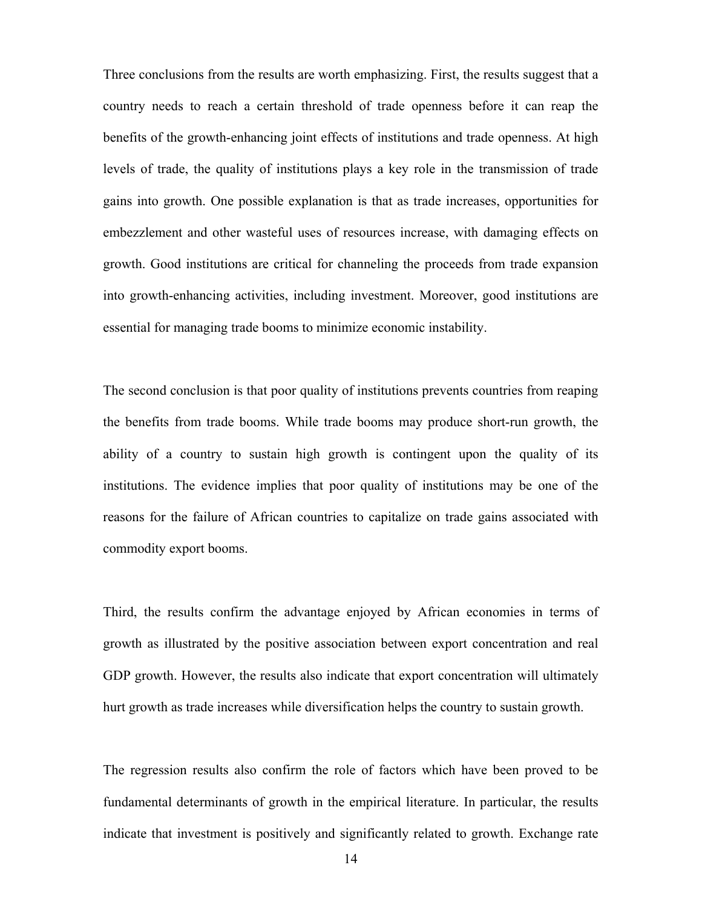Three conclusions from the results are worth emphasizing. First, the results suggest that a country needs to reach a certain threshold of trade openness before it can reap the benefits of the growth-enhancing joint effects of institutions and trade openness. At high levels of trade, the quality of institutions plays a key role in the transmission of trade gains into growth. One possible explanation is that as trade increases, opportunities for embezzlement and other wasteful uses of resources increase, with damaging effects on growth. Good institutions are critical for channeling the proceeds from trade expansion into growth-enhancing activities, including investment. Moreover, good institutions are essential for managing trade booms to minimize economic instability.

The second conclusion is that poor quality of institutions prevents countries from reaping the benefits from trade booms. While trade booms may produce short-run growth, the ability of a country to sustain high growth is contingent upon the quality of its institutions. The evidence implies that poor quality of institutions may be one of the reasons for the failure of African countries to capitalize on trade gains associated with commodity export booms.

Third, the results confirm the advantage enjoyed by African economies in terms of growth as illustrated by the positive association between export concentration and real GDP growth. However, the results also indicate that export concentration will ultimately hurt growth as trade increases while diversification helps the country to sustain growth.

The regression results also confirm the role of factors which have been proved to be fundamental determinants of growth in the empirical literature. In particular, the results indicate that investment is positively and significantly related to growth. Exchange rate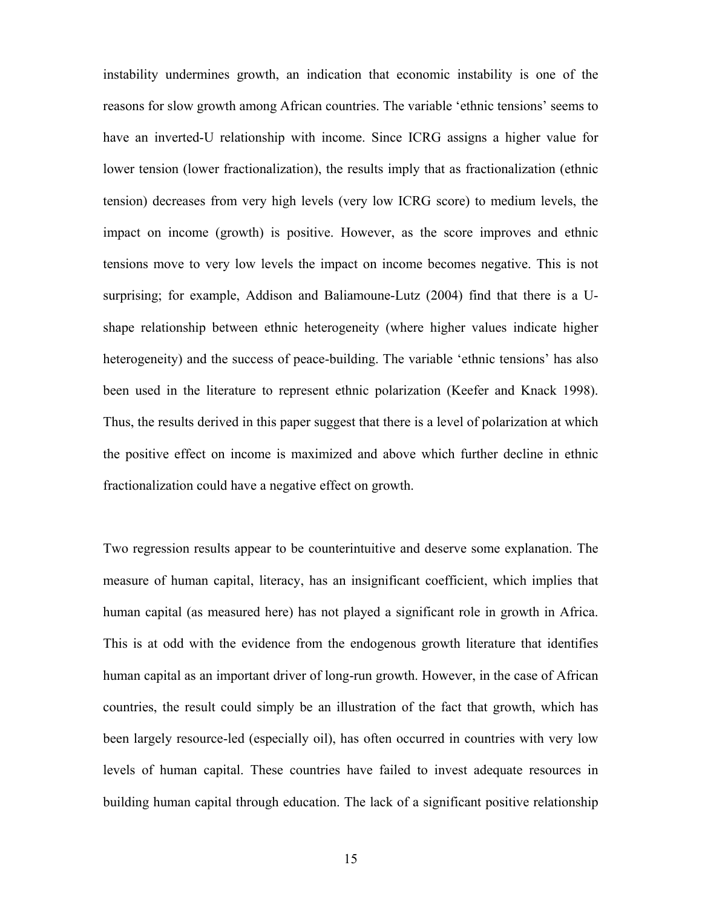instability undermines growth, an indication that economic instability is one of the reasons for slow growth among African countries. The variable 'ethnic tensions' seems to have an inverted-U relationship with income. Since ICRG assigns a higher value for lower tension (lower fractionalization), the results imply that as fractionalization (ethnic tension) decreases from very high levels (very low ICRG score) to medium levels, the impact on income (growth) is positive. However, as the score improves and ethnic tensions move to very low levels the impact on income becomes negative. This is not surprising; for example, Addison and Baliamoune-Lutz (2004) find that there is a Ushape relationship between ethnic heterogeneity (where higher values indicate higher heterogeneity) and the success of peace-building. The variable 'ethnic tensions' has also been used in the literature to represent ethnic polarization (Keefer and Knack 1998). Thus, the results derived in this paper suggest that there is a level of polarization at which the positive effect on income is maximized and above which further decline in ethnic fractionalization could have a negative effect on growth.

Two regression results appear to be counterintuitive and deserve some explanation. The measure of human capital, literacy, has an insignificant coefficient, which implies that human capital (as measured here) has not played a significant role in growth in Africa. This is at odd with the evidence from the endogenous growth literature that identifies human capital as an important driver of long-run growth. However, in the case of African countries, the result could simply be an illustration of the fact that growth, which has been largely resource-led (especially oil), has often occurred in countries with very low levels of human capital. These countries have failed to invest adequate resources in building human capital through education. The lack of a significant positive relationship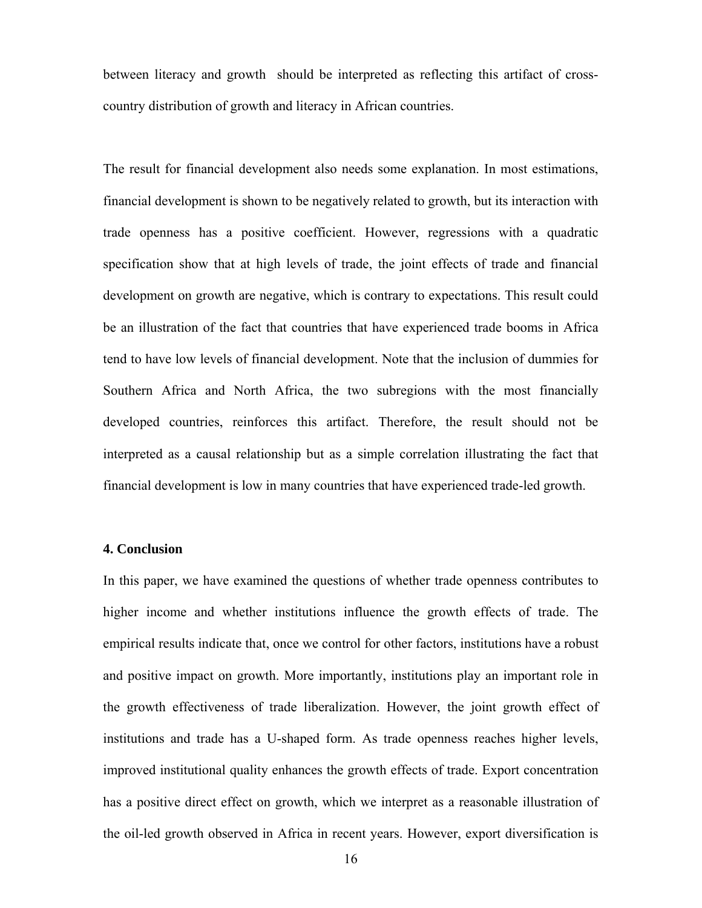between literacy and growth should be interpreted as reflecting this artifact of crosscountry distribution of growth and literacy in African countries.

The result for financial development also needs some explanation. In most estimations, financial development is shown to be negatively related to growth, but its interaction with trade openness has a positive coefficient. However, regressions with a quadratic specification show that at high levels of trade, the joint effects of trade and financial development on growth are negative, which is contrary to expectations. This result could be an illustration of the fact that countries that have experienced trade booms in Africa tend to have low levels of financial development. Note that the inclusion of dummies for Southern Africa and North Africa, the two subregions with the most financially developed countries, reinforces this artifact. Therefore, the result should not be interpreted as a causal relationship but as a simple correlation illustrating the fact that financial development is low in many countries that have experienced trade-led growth.

#### **4. Conclusion**

In this paper, we have examined the questions of whether trade openness contributes to higher income and whether institutions influence the growth effects of trade. The empirical results indicate that, once we control for other factors, institutions have a robust and positive impact on growth. More importantly, institutions play an important role in the growth effectiveness of trade liberalization. However, the joint growth effect of institutions and trade has a U-shaped form. As trade openness reaches higher levels, improved institutional quality enhances the growth effects of trade. Export concentration has a positive direct effect on growth, which we interpret as a reasonable illustration of the oil-led growth observed in Africa in recent years. However, export diversification is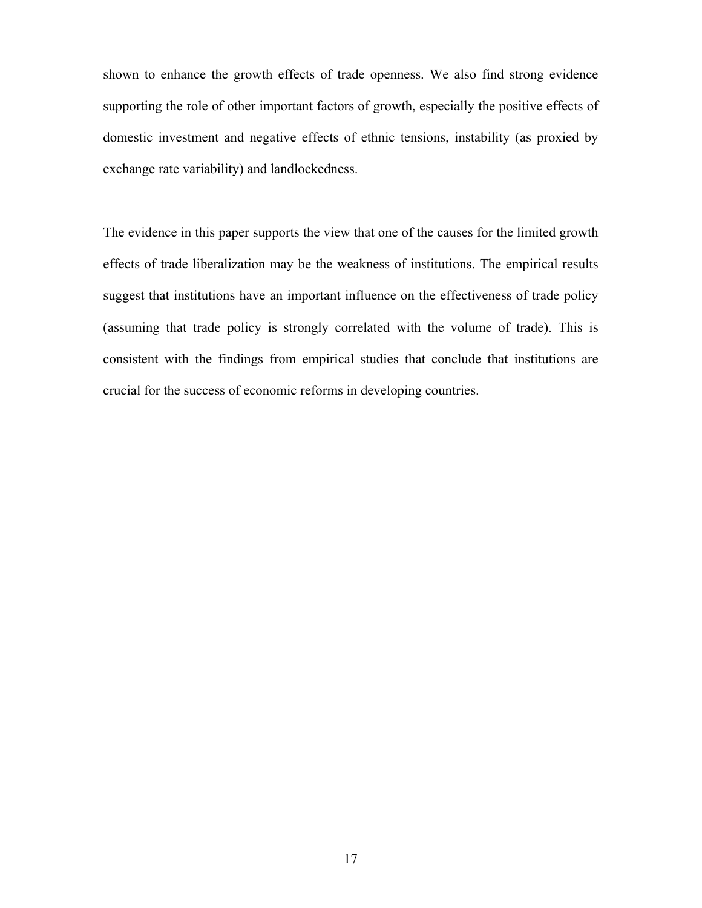shown to enhance the growth effects of trade openness. We also find strong evidence supporting the role of other important factors of growth, especially the positive effects of domestic investment and negative effects of ethnic tensions, instability (as proxied by exchange rate variability) and landlockedness.

The evidence in this paper supports the view that one of the causes for the limited growth effects of trade liberalization may be the weakness of institutions. The empirical results suggest that institutions have an important influence on the effectiveness of trade policy (assuming that trade policy is strongly correlated with the volume of trade). This is consistent with the findings from empirical studies that conclude that institutions are crucial for the success of economic reforms in developing countries.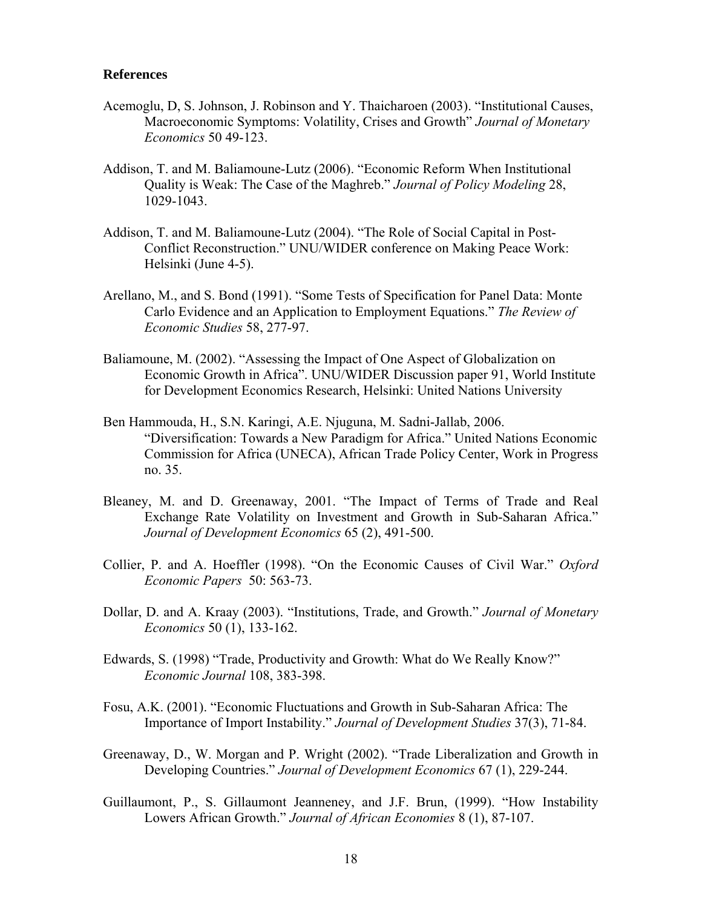#### **References**

- Acemoglu, D, S. Johnson, J. Robinson and Y. Thaicharoen (2003). "Institutional Causes, Macroeconomic Symptoms: Volatility, Crises and Growth" *Journal of Monetary Economics* 50 49-123.
- Addison, T. and M. Baliamoune-Lutz (2006). "Economic Reform When Institutional Quality is Weak: The Case of the Maghreb." *Journal of Policy Modeling* 28, 1029-1043.
- Addison, T. and M. Baliamoune-Lutz (2004). "The Role of Social Capital in Post-Conflict Reconstruction." UNU/WIDER conference on Making Peace Work: Helsinki (June 4-5).
- Arellano, M., and S. Bond (1991). "Some Tests of Specification for Panel Data: Monte Carlo Evidence and an Application to Employment Equations." *The Review of Economic Studies* 58, 277-97.
- Baliamoune, M. (2002). "Assessing the Impact of One Aspect of Globalization on Economic Growth in Africa". UNU/WIDER Discussion paper 91, World Institute for Development Economics Research, Helsinki: United Nations University
- Ben Hammouda, H., S.N. Karingi, A.E. Njuguna, M. Sadni-Jallab, 2006. "Diversification: Towards a New Paradigm for Africa." United Nations Economic Commission for Africa (UNECA), African Trade Policy Center, Work in Progress no. 35.
- Bleaney, M. and D. Greenaway, 2001. "The Impact of Terms of Trade and Real Exchange Rate Volatility on Investment and Growth in Sub-Saharan Africa." *Journal of Development Economics* 65 (2), 491-500.
- Collier, P. and A. Hoeffler (1998). "On the Economic Causes of Civil War." *Oxford Economic Papers* 50: 563-73.
- Dollar, D. and A. Kraay (2003). "Institutions, Trade, and Growth." *Journal of Monetary Economics* 50 (1), 133-162.
- Edwards, S. (1998) "Trade, Productivity and Growth: What do We Really Know?" *Economic Journal* 108, 383-398.
- Fosu, A.K. (2001). "Economic Fluctuations and Growth in Sub-Saharan Africa: The Importance of Import Instability." *Journal of Development Studies* 37(3), 71-84.
- Greenaway, D., W. Morgan and P. Wright (2002). "Trade Liberalization and Growth in Developing Countries." *Journal of Development Economics* 67 (1), 229-244.
- Guillaumont, P., S. Gillaumont Jeanneney, and J.F. Brun, (1999). "How Instability Lowers African Growth." *Journal of African Economies* 8 (1), 87-107.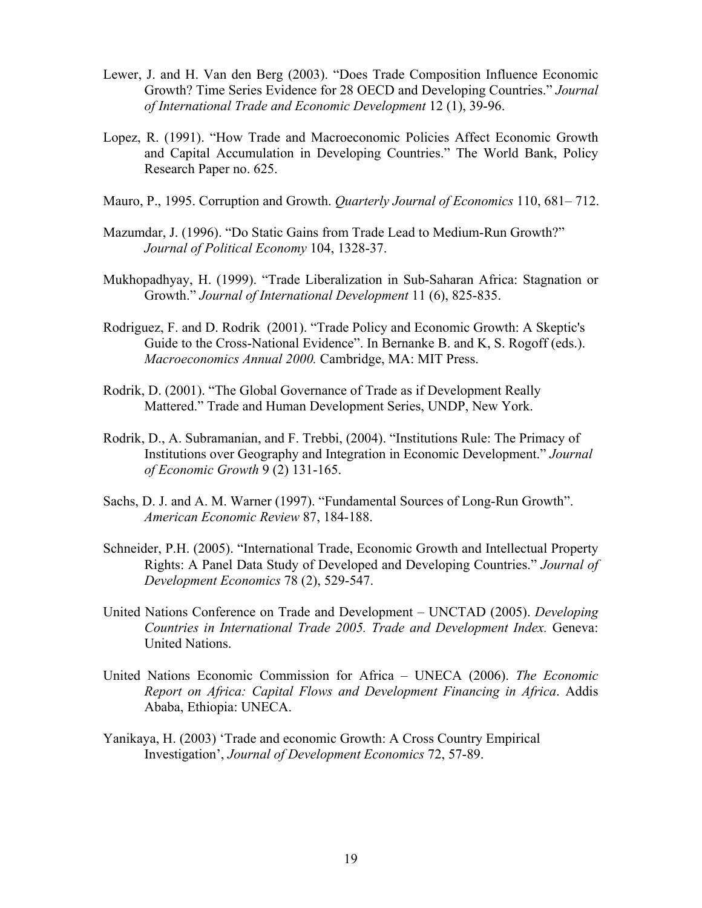- Lewer, J. and H. Van den Berg (2003). "Does Trade Composition Influence Economic Growth? Time Series Evidence for 28 OECD and Developing Countries." *Journal of International Trade and Economic Development* 12 (1), 39-96.
- Lopez, R. (1991). "How Trade and Macroeconomic Policies Affect Economic Growth and Capital Accumulation in Developing Countries." The World Bank, Policy Research Paper no. 625.
- Mauro, P., 1995. Corruption and Growth. *Quarterly Journal of Economics* 110, 681– 712.
- Mazumdar, J. (1996). "Do Static Gains from Trade Lead to Medium-Run Growth?" *Journal of Political Economy* 104, 1328-37.
- Mukhopadhyay, H. (1999). "Trade Liberalization in Sub-Saharan Africa: Stagnation or Growth." *Journal of International Development* 11 (6), 825-835.
- Rodriguez, F. and D. Rodrik (2001). "Trade Policy and Economic Growth: A Skeptic's Guide to the Cross-National Evidence". In Bernanke B. and K, S. Rogoff (eds.). *Macroeconomics Annual 2000.* Cambridge, MA: MIT Press.
- Rodrik, D. (2001). "The Global Governance of Trade as if Development Really Mattered." Trade and Human Development Series, UNDP, New York.
- Rodrik, D., A. Subramanian, and F. Trebbi, (2004). "Institutions Rule: The Primacy of Institutions over Geography and Integration in Economic Development." *Journal of Economic Growth* 9 (2) 131-165.
- Sachs, D. J. and A. M. Warner (1997). "Fundamental Sources of Long-Run Growth". *American Economic Review* 87, 184-188.
- Schneider, P.H. (2005). "International Trade, Economic Growth and Intellectual Property Rights: A Panel Data Study of Developed and Developing Countries." *Journal of Development Economics* 78 (2), 529-547.
- United Nations Conference on Trade and Development UNCTAD (2005). *Developing Countries in International Trade 2005. Trade and Development Index.* Geneva: United Nations.
- United Nations Economic Commission for Africa UNECA (2006). *The Economic Report on Africa: Capital Flows and Development Financing in Africa*. Addis Ababa, Ethiopia: UNECA.
- Yanikaya, H. (2003) 'Trade and economic Growth: A Cross Country Empirical Investigation', *Journal of Development Economics* 72, 57-89.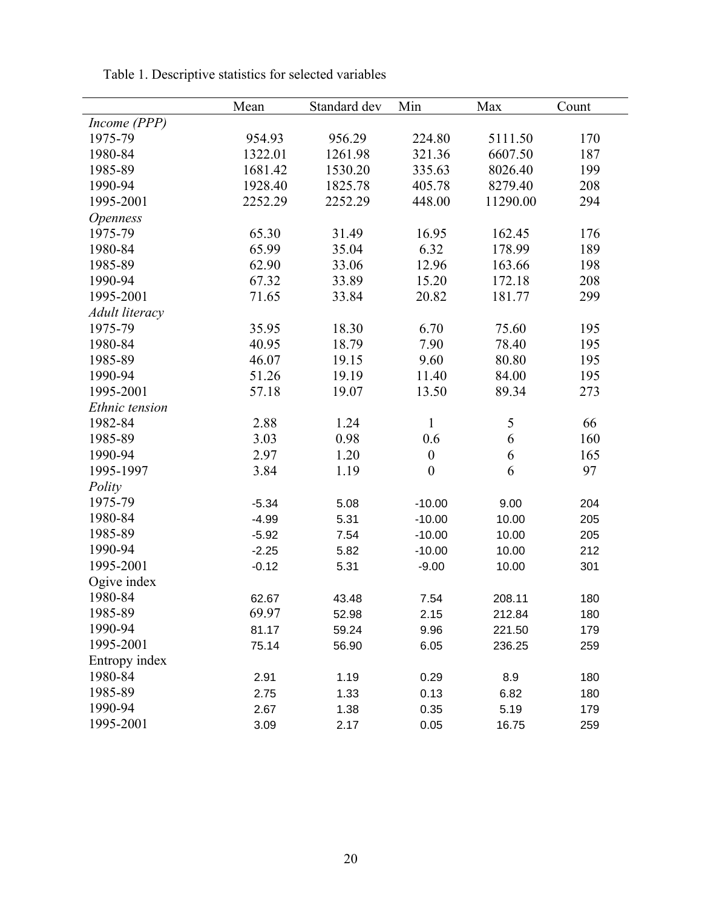|                 | Mean    | Standard dev | Min              | Max      | Count |
|-----------------|---------|--------------|------------------|----------|-------|
| Income (PPP)    |         |              |                  |          |       |
| 1975-79         | 954.93  | 956.29       | 224.80           | 5111.50  | 170   |
| 1980-84         | 1322.01 | 1261.98      | 321.36           | 6607.50  | 187   |
| 1985-89         | 1681.42 | 1530.20      | 335.63           | 8026.40  | 199   |
| 1990-94         | 1928.40 | 1825.78      | 405.78           | 8279.40  | 208   |
| 1995-2001       | 2252.29 | 2252.29      | 448.00           | 11290.00 | 294   |
| <b>Openness</b> |         |              |                  |          |       |
| 1975-79         | 65.30   | 31.49        | 16.95            | 162.45   | 176   |
| 1980-84         | 65.99   | 35.04        | 6.32             | 178.99   | 189   |
| 1985-89         | 62.90   | 33.06        | 12.96            | 163.66   | 198   |
| 1990-94         | 67.32   | 33.89        | 15.20            | 172.18   | 208   |
| 1995-2001       | 71.65   | 33.84        | 20.82            | 181.77   | 299   |
| Adult literacy  |         |              |                  |          |       |
| 1975-79         | 35.95   | 18.30        | 6.70             | 75.60    | 195   |
| 1980-84         | 40.95   | 18.79        | 7.90             | 78.40    | 195   |
| 1985-89         | 46.07   | 19.15        | 9.60             | 80.80    | 195   |
| 1990-94         | 51.26   | 19.19        | 11.40            | 84.00    | 195   |
| 1995-2001       | 57.18   | 19.07        | 13.50            | 89.34    | 273   |
| Ethnic tension  |         |              |                  |          |       |
| 1982-84         | 2.88    | 1.24         | $\mathbf{1}$     | 5        | 66    |
| 1985-89         | 3.03    | 0.98         | 0.6              | 6        | 160   |
| 1990-94         | 2.97    | 1.20         | $\boldsymbol{0}$ | 6        | 165   |
| 1995-1997       | 3.84    | 1.19         | $\boldsymbol{0}$ | 6        | 97    |
| Polity          |         |              |                  |          |       |
| 1975-79         | $-5.34$ | 5.08         | $-10.00$         | 9.00     | 204   |
| 1980-84         | $-4.99$ | 5.31         | $-10.00$         | 10.00    | 205   |
| 1985-89         | $-5.92$ | 7.54         | $-10.00$         | 10.00    | 205   |
| 1990-94         | $-2.25$ | 5.82         | $-10.00$         | 10.00    | 212   |
| 1995-2001       | $-0.12$ | 5.31         | $-9.00$          | 10.00    | 301   |
| Ogive index     |         |              |                  |          |       |
| 1980-84         | 62.67   | 43.48        | 7.54             | 208.11   | 180   |
| 1985-89         | 69.97   | 52.98        | 2.15             | 212.84   | 180   |
| 1990-94         | 81.17   | 59.24        | 9.96             | 221.50   | 179   |
| 1995-2001       | 75.14   | 56.90        | 6.05             | 236.25   | 259   |
| Entropy index   |         |              |                  |          |       |
| 1980-84         | 2.91    | 1.19         | 0.29             | 8.9      | 180   |
| 1985-89         | 2.75    | 1.33         | 0.13             | 6.82     | 180   |
| 1990-94         | 2.67    | 1.38         | 0.35             | 5.19     | 179   |
| 1995-2001       | 3.09    | 2.17         | 0.05             | 16.75    | 259   |

Table 1. Descriptive statistics for selected variables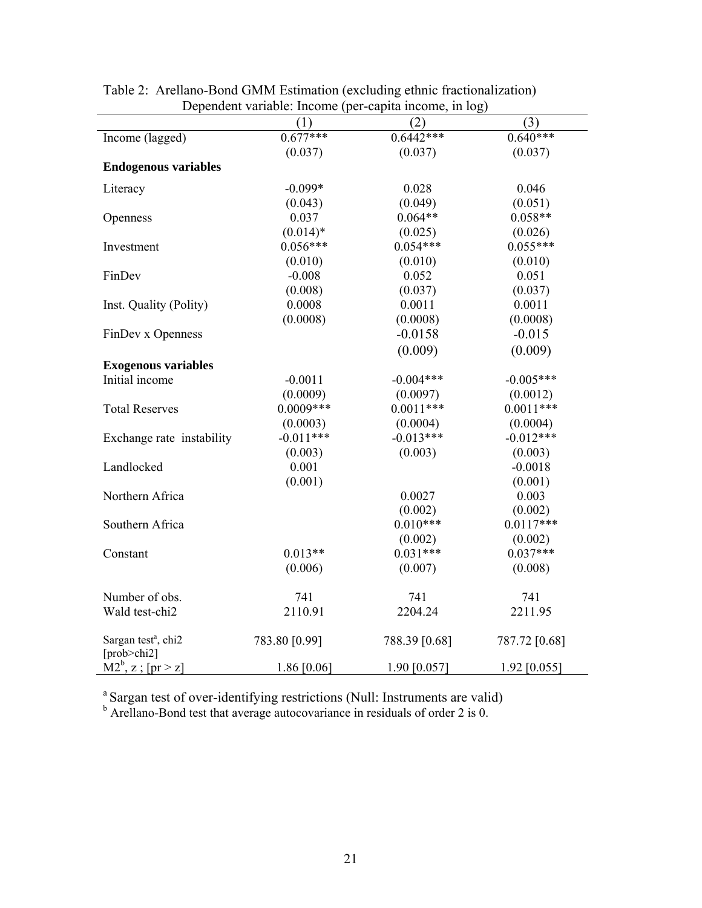|                                                | (1)           | $D$ openaont variable. Income (per eaplia medine, in $D_{\mathbf{S}}$ )<br>(2) | (3)           |
|------------------------------------------------|---------------|--------------------------------------------------------------------------------|---------------|
| Income (lagged)                                | $0.677***$    | $0.6442***$                                                                    | $0.640***$    |
|                                                | (0.037)       | (0.037)                                                                        | (0.037)       |
| <b>Endogenous variables</b>                    |               |                                                                                |               |
| Literacy                                       | $-0.099*$     | 0.028                                                                          | 0.046         |
|                                                | (0.043)       | (0.049)                                                                        | (0.051)       |
| Openness                                       | 0.037         | $0.064**$                                                                      | $0.058**$     |
|                                                | $(0.014)*$    | (0.025)                                                                        | (0.026)       |
| Investment                                     | $0.056***$    | $0.054***$                                                                     | $0.055***$    |
|                                                | (0.010)       | (0.010)                                                                        | (0.010)       |
| FinDev                                         | $-0.008$      | 0.052                                                                          | 0.051         |
|                                                | (0.008)       | (0.037)                                                                        | (0.037)       |
| Inst. Quality (Polity)                         | 0.0008        | 0.0011                                                                         | 0.0011        |
|                                                | (0.0008)      | (0.0008)                                                                       | (0.0008)      |
| FinDev x Openness                              |               | $-0.0158$                                                                      | $-0.015$      |
|                                                |               | (0.009)                                                                        | (0.009)       |
| <b>Exogenous variables</b>                     |               |                                                                                |               |
| Initial income                                 | $-0.0011$     | $-0.004***$                                                                    | $-0.005***$   |
|                                                | (0.0009)      | (0.0097)                                                                       | (0.0012)      |
| <b>Total Reserves</b>                          | $0.0009***$   | $0.0011***$                                                                    | $0.0011***$   |
|                                                | (0.0003)      | (0.0004)                                                                       | (0.0004)      |
| Exchange rate instability                      | $-0.011***$   | $-0.013***$                                                                    | $-0.012***$   |
|                                                | (0.003)       | (0.003)                                                                        | (0.003)       |
| Landlocked                                     | 0.001         |                                                                                | $-0.0018$     |
|                                                | (0.001)       |                                                                                | (0.001)       |
| Northern Africa                                |               | 0.0027                                                                         | 0.003         |
|                                                |               | (0.002)                                                                        | (0.002)       |
| Southern Africa                                |               | $0.010***$                                                                     | $0.0117***$   |
|                                                |               | (0.002)                                                                        | (0.002)       |
| Constant                                       | $0.013**$     | $0.031***$                                                                     | $0.037***$    |
|                                                | (0.006)       | (0.007)                                                                        | (0.008)       |
| Number of obs.                                 | 741           | 741                                                                            | 741           |
| Wald test-chi2                                 | 2110.91       | 2204.24                                                                        | 2211.95       |
|                                                |               |                                                                                |               |
| Sargan test <sup>a</sup> , chi2<br>[prob>chi2] | 783.80 [0.99] | 788.39 [0.68]                                                                  | 787.72 [0.68] |
| $\overline{M2^b}$ , z; [pr > z]                | 1.86 [0.06]   | 1.90 [0.057]                                                                   | 1.92 [0.055]  |

Table 2: Arellano-Bond GMM Estimation (excluding ethnic fractionalization) Dependent variable: Income (per-capita income, in log)

<sup>a</sup> Sargan test of over-identifying restrictions (Null: Instruments are valid) b Arellano-Bond test that average autocovariance in residuals of order 2 is 0.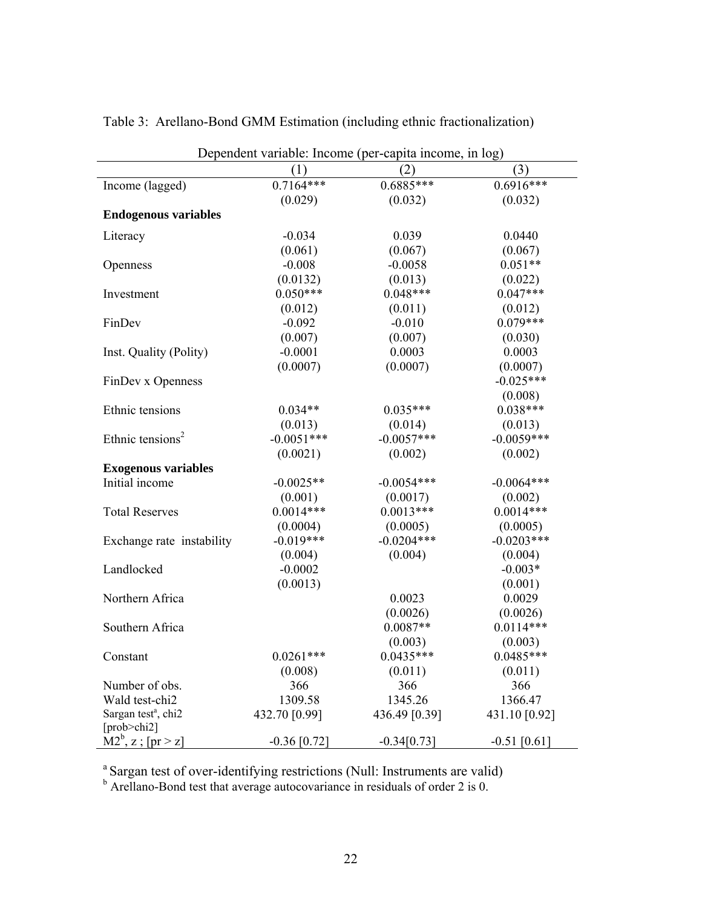| Dependent variable: Income (per-capita income, in log)     |                |               |                |
|------------------------------------------------------------|----------------|---------------|----------------|
|                                                            | (1)            | (2)           | (3)            |
| Income (lagged)                                            | $0.7164***$    | $0.6885***$   | $0.6916***$    |
|                                                            | (0.029)        | (0.032)       | (0.032)        |
| <b>Endogenous variables</b>                                |                |               |                |
| Literacy                                                   | $-0.034$       | 0.039         | 0.0440         |
|                                                            | (0.061)        | (0.067)       | (0.067)        |
| Openness                                                   | $-0.008$       | $-0.0058$     | $0.051**$      |
|                                                            | (0.0132)       | (0.013)       | (0.022)        |
| Investment                                                 | $0.050***$     | $0.048***$    | $0.047***$     |
|                                                            | (0.012)        | (0.011)       | (0.012)        |
| FinDev                                                     | $-0.092$       | $-0.010$      | $0.079***$     |
|                                                            | (0.007)        | (0.007)       | (0.030)        |
| Inst. Quality (Polity)                                     | $-0.0001$      | 0.0003        | 0.0003         |
|                                                            | (0.0007)       | (0.0007)      | (0.0007)       |
| FinDev x Openness                                          |                |               | $-0.025***$    |
|                                                            |                |               | (0.008)        |
| Ethnic tensions                                            | $0.034**$      | $0.035***$    | $0.038***$     |
|                                                            | (0.013)        | (0.014)       | (0.013)        |
| Ethnic tensions <sup>2</sup>                               | $-0.0051***$   | $-0.0057***$  | $-0.0059***$   |
|                                                            | (0.0021)       | (0.002)       | (0.002)        |
| <b>Exogenous variables</b>                                 |                |               |                |
| Initial income                                             | $-0.0025**$    | $-0.0054***$  | $-0.0064***$   |
|                                                            | (0.001)        | (0.0017)      | (0.002)        |
| <b>Total Reserves</b>                                      | $0.0014***$    | $0.0013***$   | $0.0014***$    |
|                                                            | (0.0004)       | (0.0005)      | (0.0005)       |
| Exchange rate instability                                  | $-0.019***$    | $-0.0204***$  | $-0.0203***$   |
|                                                            | (0.004)        | (0.004)       | (0.004)        |
| Landlocked                                                 | $-0.0002$      |               | $-0.003*$      |
|                                                            | (0.0013)       |               | (0.001)        |
| Northern Africa                                            |                | 0.0023        | 0.0029         |
|                                                            |                | (0.0026)      | (0.0026)       |
| Southern Africa                                            |                | $0.0087**$    | $0.0114***$    |
|                                                            |                | (0.003)       | (0.003)        |
| Constant                                                   | $0.0261***$    | $0.0435***$   | $0.0485***$    |
|                                                            | (0.008)        | (0.011)       | (0.011)        |
| Number of obs.                                             | 366            | 366           | 366            |
| Wald test-chi2                                             | 1309.58        | 1345.26       | 1366.47        |
| Sargan test <sup>a</sup> , chi <sub>2</sub><br>[prob>chi2] | 432.70 [0.99]  | 436.49 [0.39] | 431.10 [0.92]  |
| $M2^b$ , z; [pr > z]                                       | $-0.36$ [0.72] | $-0.34[0.73]$ | $-0.51$ [0.61] |

Table 3: Arellano-Bond GMM Estimation (including ethnic fractionalization)

<sup>a</sup> Sargan test of over-identifying restrictions (Null: Instruments are valid) b Arellano-Bond test that average autocovariance in residuals of order 2 is 0.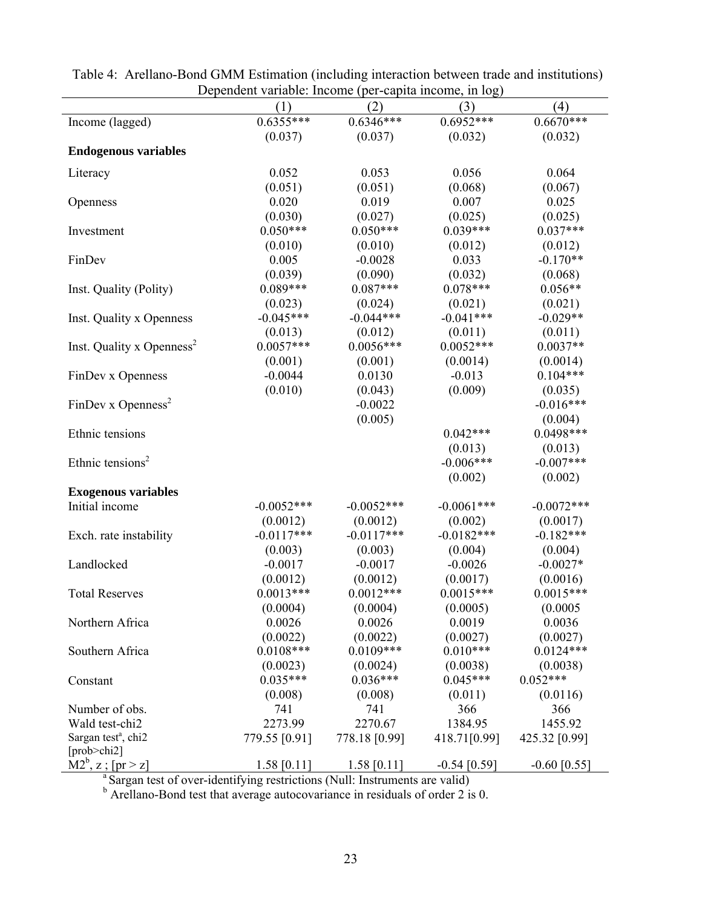| Dependent variable. Income (per-capita meonie, in log)<br>(4)<br>(2)<br>(3)<br>(1)      |               |               |                |                |  |
|-----------------------------------------------------------------------------------------|---------------|---------------|----------------|----------------|--|
| Income (lagged)                                                                         | $0.6355***$   | $0.6346***$   | $0.6952***$    | $0.6670***$    |  |
|                                                                                         | (0.037)       | (0.037)       | (0.032)        | (0.032)        |  |
| <b>Endogenous variables</b>                                                             |               |               |                |                |  |
|                                                                                         |               |               |                |                |  |
| Literacy                                                                                | 0.052         | 0.053         | 0.056          | 0.064          |  |
|                                                                                         | (0.051)       | (0.051)       | (0.068)        | (0.067)        |  |
| Openness                                                                                | 0.020         | 0.019         | 0.007          | 0.025          |  |
|                                                                                         | (0.030)       | (0.027)       | (0.025)        | (0.025)        |  |
| Investment                                                                              | $0.050***$    | $0.050***$    | $0.039***$     | $0.037***$     |  |
|                                                                                         | (0.010)       | (0.010)       | (0.012)        | (0.012)        |  |
| FinDev                                                                                  | 0.005         | $-0.0028$     | 0.033          | $-0.170**$     |  |
|                                                                                         | (0.039)       | (0.090)       | (0.032)        | (0.068)        |  |
| Inst. Quality (Polity)                                                                  | $0.089***$    | $0.087***$    | $0.078***$     | $0.056**$      |  |
|                                                                                         | (0.023)       | (0.024)       | (0.021)        | (0.021)        |  |
| Inst. Quality x Openness                                                                | $-0.045***$   | $-0.044***$   | $-0.041***$    | $-0.029**$     |  |
|                                                                                         | (0.013)       | (0.012)       | (0.011)        | (0.011)        |  |
| Inst. Quality x Openness <sup>2</sup>                                                   | $0.0057***$   | $0.0056***$   | $0.0052***$    | $0.0037**$     |  |
|                                                                                         | (0.001)       | (0.001)       | (0.0014)       | (0.0014)       |  |
| FinDev x Openness                                                                       | $-0.0044$     | 0.0130        | $-0.013$       | $0.104***$     |  |
|                                                                                         | (0.010)       | (0.043)       | (0.009)        | (0.035)        |  |
| FinDev x Openness <sup>2</sup>                                                          |               | $-0.0022$     |                | $-0.016***$    |  |
|                                                                                         |               | (0.005)       |                | (0.004)        |  |
| Ethnic tensions                                                                         |               |               | $0.042***$     | $0.0498***$    |  |
|                                                                                         |               |               | (0.013)        | (0.013)        |  |
| Ethnic tensions <sup>2</sup>                                                            |               |               | $-0.006***$    | $-0.007***$    |  |
|                                                                                         |               |               | (0.002)        | (0.002)        |  |
|                                                                                         |               |               |                |                |  |
| <b>Exogenous variables</b>                                                              | $-0.0052***$  | $-0.0052***$  | $-0.0061***$   | $-0.0072$ ***  |  |
| Initial income                                                                          |               |               |                |                |  |
|                                                                                         | (0.0012)      | (0.0012)      | (0.002)        | (0.0017)       |  |
| Exch. rate instability                                                                  | $-0.0117***$  | $-0.0117***$  | $-0.0182***$   | $-0.182***$    |  |
|                                                                                         | (0.003)       | (0.003)       | (0.004)        | (0.004)        |  |
| Landlocked                                                                              | $-0.0017$     | $-0.0017$     | $-0.0026$      | $-0.0027*$     |  |
|                                                                                         | (0.0012)      | (0.0012)      | (0.0017)       | (0.0016)       |  |
| <b>Total Reserves</b>                                                                   | $0.0013***$   | $0.0012***$   | $0.0015***$    | $0.0015***$    |  |
|                                                                                         | (0.0004)      | (0.0004)      | (0.0005)       | (0.0005)       |  |
| Northern Africa                                                                         | 0.0026        | 0.0026        | 0.0019         | 0.0036         |  |
|                                                                                         | (0.0022)      | (0.0022)      | (0.0027)       | (0.0027)       |  |
| Southern Africa                                                                         | $0.0108***$   | $0.0109***$   | $0.010***$     | $0.0124***$    |  |
|                                                                                         | (0.0023)      | (0.0024)      | (0.0038)       | (0.0038)       |  |
| Constant                                                                                | $0.035***$    | $0.036***$    | $0.045***$     | $0.052***$     |  |
|                                                                                         | (0.008)       | (0.008)       | (0.011)        | (0.0116)       |  |
| Number of obs.                                                                          | 741           | 741           | 366            | 366            |  |
| Wald test-chi2                                                                          | 2273.99       | 2270.67       | 1384.95        | 1455.92        |  |
| Sargan test <sup>a</sup> , chi2                                                         | 779.55 [0.91] | 778.18 [0.99] | 418.71[0.99]   | 425.32 [0.99]  |  |
| [prob>chi2]                                                                             |               |               |                |                |  |
| $M2^b$ , z; [pr > z]                                                                    | $1.58$ [0.11] | 1.58 $[0.11]$ | $-0.54$ [0.59] | $-0.60$ [0.55] |  |
| <sup>a</sup> Sargan test of over-identifying restrictions (Null: Instruments are valid) |               |               |                |                |  |
| Arellano-Bond test that average autocovariance in residuals of order 2 is 0.            |               |               |                |                |  |

Table 4: Arellano-Bond GMM Estimation (including interaction between trade and institutions) Dependent variable: Income (per-capita income, in log)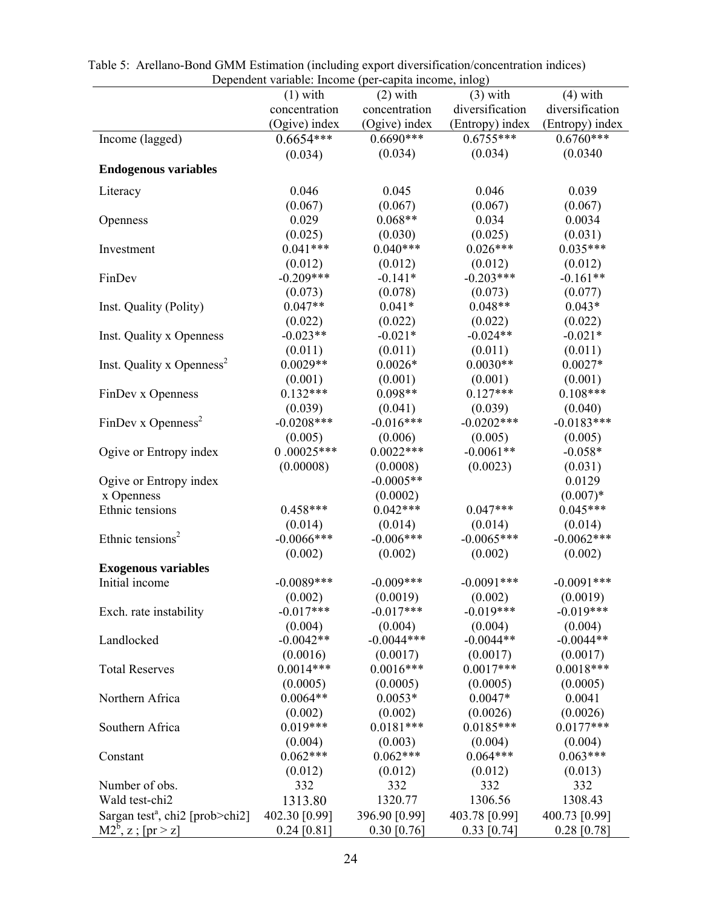| Dependent variable: Income (per-capita income, inlog)                |               |               |                 |                 |
|----------------------------------------------------------------------|---------------|---------------|-----------------|-----------------|
|                                                                      | $(1)$ with    | $(2)$ with    | $(3)$ with      | $(4)$ with      |
|                                                                      | concentration | concentration | diversification | diversification |
|                                                                      | (Ogive) index | (Ogive) index | (Entropy) index | (Entropy) index |
| Income (lagged)                                                      | $0.6654***$   | $0.6690***$   | $0.6755***$     | $0.6760***$     |
|                                                                      | (0.034)       | (0.034)       | (0.034)         | (0.0340)        |
| <b>Endogenous variables</b>                                          |               |               |                 |                 |
|                                                                      |               |               |                 |                 |
| Literacy                                                             | 0.046         | 0.045         | 0.046           | 0.039           |
|                                                                      | (0.067)       | (0.067)       | (0.067)         | (0.067)         |
| Openness                                                             | 0.029         | $0.068**$     | 0.034           | 0.0034          |
|                                                                      | (0.025)       | (0.030)       | (0.025)         | (0.031)         |
| Investment                                                           | $0.041***$    | $0.040***$    | $0.026***$      | $0.035***$      |
|                                                                      | (0.012)       | (0.012)       | (0.012)         | (0.012)         |
| FinDev                                                               | $-0.209***$   | $-0.141*$     | $-0.203***$     | $-0.161**$      |
|                                                                      | (0.073)       | (0.078)       | (0.073)         | (0.077)         |
| Inst. Quality (Polity)                                               | $0.047**$     | $0.041*$      | $0.048**$       | $0.043*$        |
|                                                                      | (0.022)       | (0.022)       | (0.022)         | (0.022)         |
| Inst. Quality x Openness                                             | $-0.023**$    | $-0.021*$     | $-0.024**$      | $-0.021*$       |
|                                                                      | (0.011)       | (0.011)       | (0.011)         | (0.011)         |
| Inst. Quality x Openness <sup>2</sup>                                | $0.0029**$    | $0.0026*$     | $0.0030**$      | $0.0027*$       |
|                                                                      | (0.001)       | (0.001)       | (0.001)         | (0.001)         |
| FinDev x Openness                                                    | $0.132***$    | $0.098**$     | $0.127***$      | $0.108***$      |
|                                                                      | (0.039)       | (0.041)       | (0.039)         | (0.040)         |
| FinDev x Openness <sup>2</sup>                                       | $-0.0208***$  | $-0.016***$   | $-0.0202$ ***   | $-0.0183***$    |
|                                                                      | (0.005)       | (0.006)       | (0.005)         | (0.005)         |
| Ogive or Entropy index                                               | $0.00025***$  | $0.0022***$   | $-0.0061**$     | $-0.058*$       |
|                                                                      | (0.00008)     | (0.0008)      | (0.0023)        | (0.031)         |
| Ogive or Entropy index                                               |               | $-0.0005**$   |                 | 0.0129          |
| x Openness                                                           |               | (0.0002)      |                 | $(0.007)*$      |
| Ethnic tensions                                                      | $0.458***$    | $0.042***$    | $0.047***$      | $0.045***$      |
|                                                                      | (0.014)       | (0.014)       | (0.014)         | (0.014)         |
| Ethnic tensions <sup>2</sup>                                         | $-0.0066$ *** | $-0.006***$   | $-0.0065***$    | $-0.0062***$    |
|                                                                      | (0.002)       | (0.002)       | (0.002)         | (0.002)         |
| <b>Exogenous variables</b>                                           |               |               |                 |                 |
| Initial income                                                       | $-0.0089***$  | $-0.009***$   | $-0.0091***$    | $-0.0091***$    |
|                                                                      | (0.002)       | (0.0019)      | (0.002)         | (0.0019)        |
| Exch. rate instability                                               | $-0.017***$   | $-0.017***$   | $-0.019***$     | $-0.019***$     |
|                                                                      | (0.004)       | (0.004)       | (0.004)         | (0.004)         |
| Landlocked                                                           | $-0.0042**$   | $-0.0044***$  | $-0.0044**$     | $-0.0044**$     |
|                                                                      | (0.0016)      | (0.0017)      | (0.0017)        | (0.0017)        |
| <b>Total Reserves</b>                                                | $0.0014***$   | $0.0016***$   | $0.0017***$     | $0.0018***$     |
|                                                                      | (0.0005)      | (0.0005)      | (0.0005)        | (0.0005)        |
| Northern Africa                                                      | $0.0064**$    | $0.0053*$     | $0.0047*$       | 0.0041          |
|                                                                      | (0.002)       | (0.002)       | (0.0026)        | (0.0026)        |
| Southern Africa                                                      | $0.019***$    | $0.0181***$   | $0.0185***$     | $0.0177***$     |
|                                                                      | (0.004)       | (0.003)       | (0.004)         | (0.004)         |
| Constant                                                             | $0.062***$    | $0.062***$    | $0.064***$      | $0.063***$      |
|                                                                      | (0.012)       | (0.012)       | (0.012)         | (0.013)         |
| Number of obs.                                                       | 332           | 332           | 332             | 332             |
| Wald test-chi2                                                       | 1313.80       | 1320.77       | 1306.56         | 1308.43         |
| Sargan test <sup>a</sup> , chi <sub>2</sub> [prob>chi <sub>2</sub> ] | 402.30 [0.99] | 396.90 [0.99] | 403.78 [0.99]   | 400.73 [0.99]   |
| $M2^b$ , z; [pr > z]                                                 | $0.24$ [0.81] | $0.30$ [0.76] | $0.33$ [0.74]   | $0.28$ [0.78]   |

 Table 5: Arellano-Bond GMM Estimation (including export diversification/concentration indices) Dependent variable: Income (per-capita income, inlog)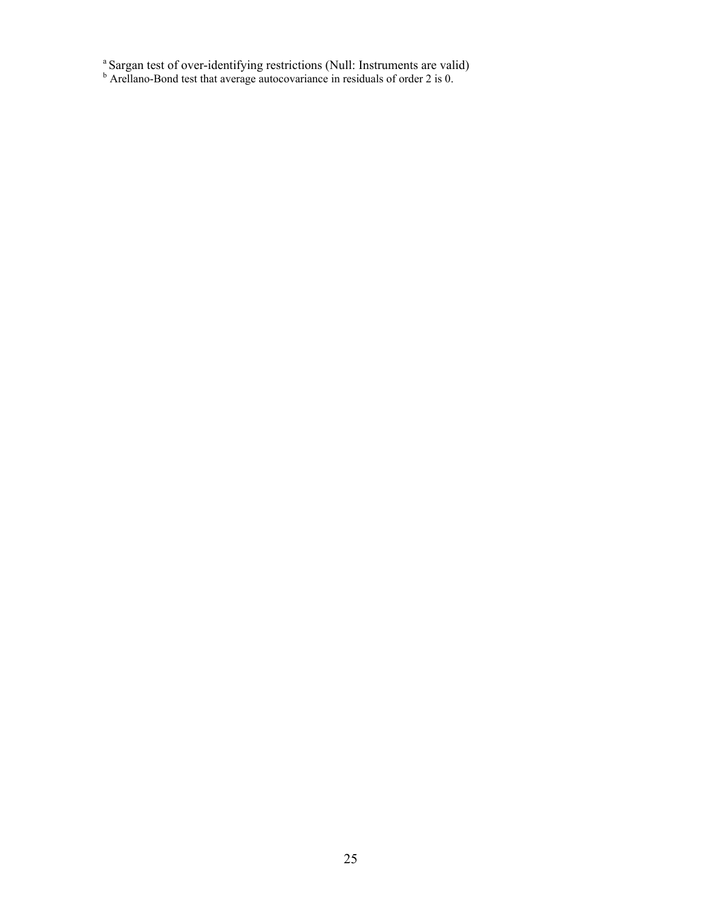<sup>a</sup> Sargan test of over-identifying restrictions (Null: Instruments are valid) b Arellano-Bond test that average autocovariance in residuals of order 2 is 0.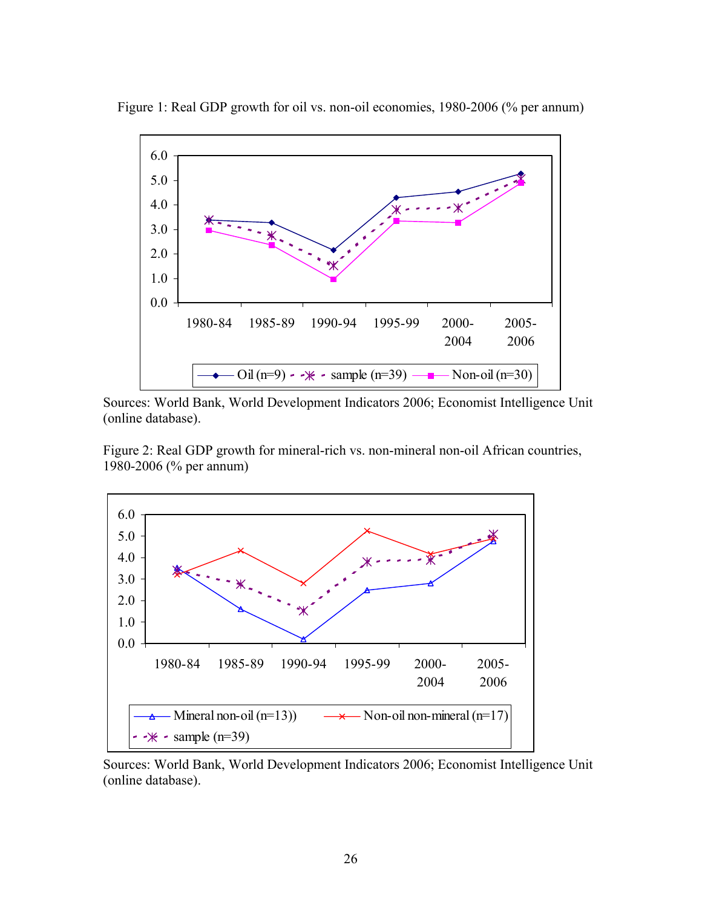

Figure 1: Real GDP growth for oil vs. non-oil economies, 1980-2006 (% per annum)

Sources: World Bank, World Development Indicators 2006; Economist Intelligence Unit (online database).

Figure 2: Real GDP growth for mineral-rich vs. non-mineral non-oil African countries, 1980-2006 (% per annum)



Sources: World Bank, World Development Indicators 2006; Economist Intelligence Unit (online database).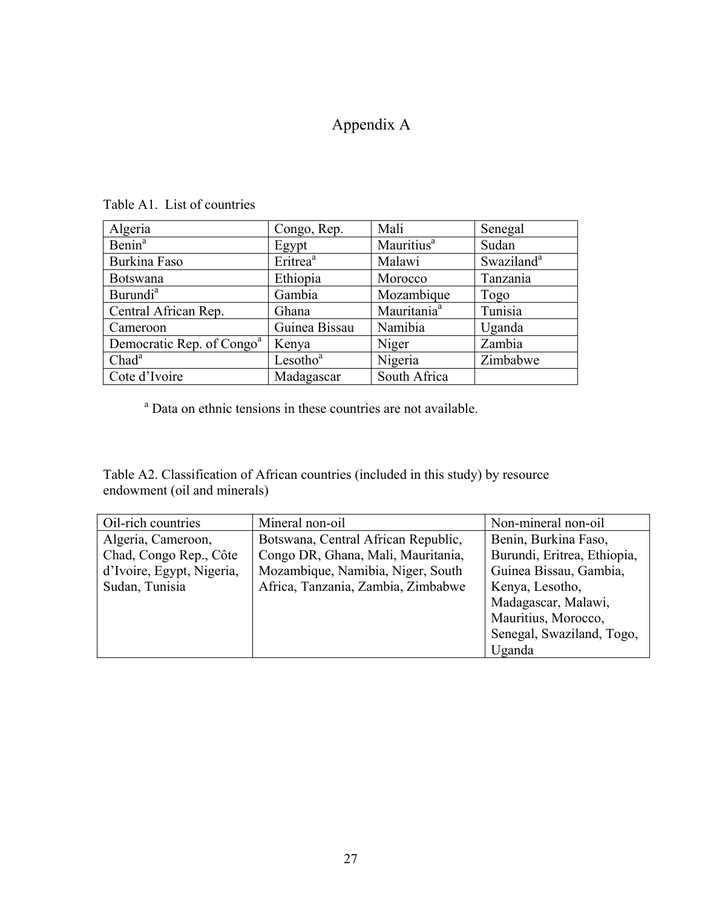### Appendix A

| Algeria                               | Congo, Rep.          | Mali                    | Senegal                |
|---------------------------------------|----------------------|-------------------------|------------------------|
| Benin <sup>a</sup>                    | Egypt                | Mauritius <sup>a</sup>  | Sudan                  |
| Burkina Faso                          | Eritrea <sup>a</sup> | Malawi                  | Swaziland <sup>a</sup> |
| <b>Botswana</b>                       | Ethiopia             | Morocco                 | Tanzania               |
| Burundi <sup>a</sup>                  | Gambia               | Mozambique              | Togo                   |
| Central African Rep.                  | Ghana                | Mauritania <sup>a</sup> | Tunisia                |
| Cameroon                              | Guinea Bissau        | Namibia                 | Uganda                 |
| Democratic Rep. of Congo <sup>a</sup> | Kenya                | Niger                   | Zambia                 |
| Chad <sup>a</sup>                     | Lesotho <sup>a</sup> | Nigeria                 | Zimbabwe               |
| Cote d'Ivoire                         | Madagascar           | South Africa            |                        |

Table A1. List of countries

<sup>a</sup> Data on ethnic tensions in these countries are not available.

Table A2. Classification of African countries (included in this study) by resource endowment (oil and minerals)

| Oil-rich countries        | Mineral non-oil                     | Non-mineral non-oil         |
|---------------------------|-------------------------------------|-----------------------------|
| Algeria, Cameroon,        | Botswana, Central African Republic, | Benin, Burkina Faso,        |
| Chad, Congo Rep., Côte    | Congo DR, Ghana, Mali, Mauritania,  | Burundi, Eritrea, Ethiopia, |
| d'Ivoire, Egypt, Nigeria, | Mozambique, Namibia, Niger, South   | Guinea Bissau, Gambia,      |
| Sudan, Tunisia            | Africa, Tanzania, Zambia, Zimbabwe  | Kenya, Lesotho,             |
|                           |                                     | Madagascar, Malawi,         |
|                           |                                     | Mauritius, Morocco,         |
|                           |                                     | Senegal, Swaziland, Togo,   |
|                           |                                     | Uganda                      |